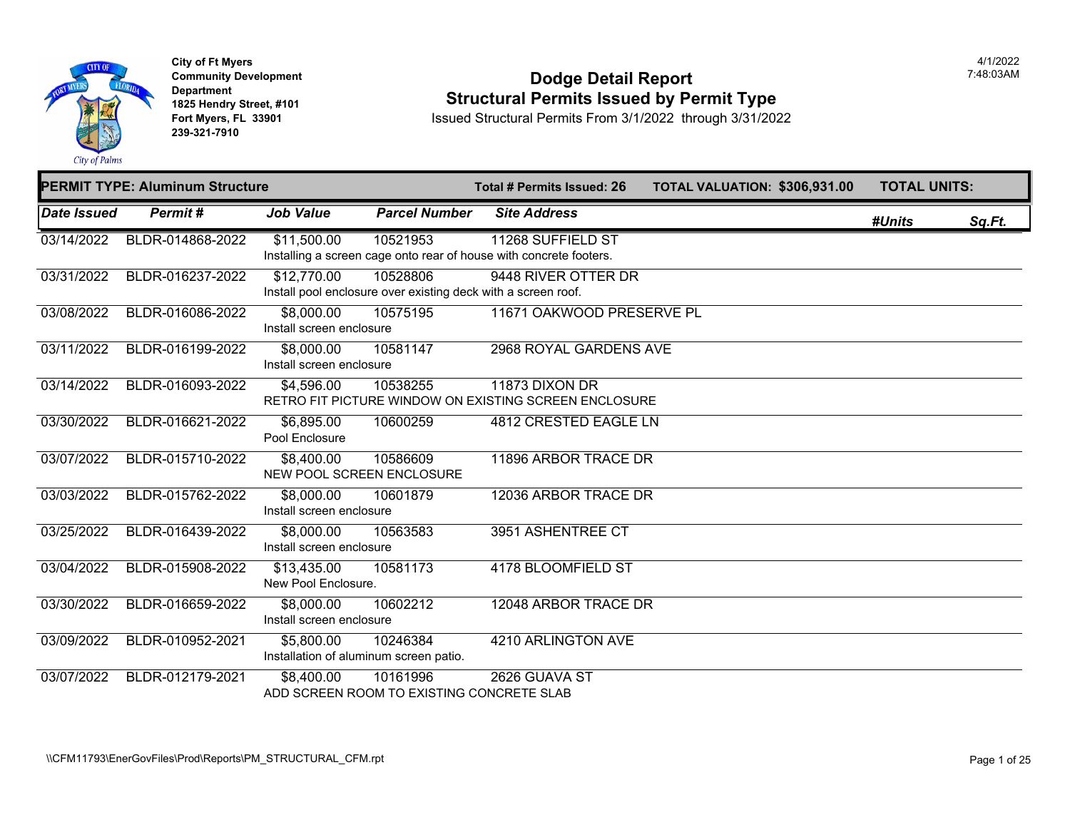

**City of Ft Myers Community Development Department 1825 Hendry Street, #101 Fort Myers, FL 33901 239-321-7910** 

### **Dodge Detail Report Structural Permits Issued by Permit Type**

|                    | <b>PERMIT TYPE: Aluminum Structure</b> |                                                                  |                                                       | Total # Permits Issued: 26                                                              | <b>TOTAL VALUATION: \$306,93</b> |  |
|--------------------|----------------------------------------|------------------------------------------------------------------|-------------------------------------------------------|-----------------------------------------------------------------------------------------|----------------------------------|--|
| <b>Date Issued</b> | <b>Permit#</b>                         | <b>Job Value</b>                                                 | <b>Parcel Number</b>                                  | <b>Site Address</b>                                                                     |                                  |  |
| 03/14/2022         | BLDR-014868-2022                       | \$11,500.00                                                      | 10521953                                              | 11268 SUFFIELD ST<br>Installing a screen cage onto rear of house with concrete footers. |                                  |  |
| 03/31/2022         | BLDR-016237-2022                       | \$12,770.00                                                      | 10528806                                              | 9448 RIVER OTTER DR<br>Install pool enclosure over existing deck with a screen roof.    |                                  |  |
| 03/08/2022         | BLDR-016086-2022                       | \$8,000.00<br>Install screen enclosure                           | 10575195                                              | 11671 OAKWOOD PRESERVE PL                                                               |                                  |  |
| 03/11/2022         | BLDR-016199-2022                       | \$8,000.00<br>Install screen enclosure                           | 10581147                                              | 2968 ROYAL GARDENS AVE                                                                  |                                  |  |
| 03/14/2022         | BLDR-016093-2022                       | \$4,596.00                                                       | 10538255                                              | 11873 DIXON DR<br>RETRO FIT PICTURE WINDOW ON EXISTING SCREEN ENCLOSURE                 |                                  |  |
| 03/30/2022         | BLDR-016621-2022                       | \$6,895.00<br>Pool Enclosure                                     | 10600259                                              | 4812 CRESTED EAGLE LN                                                                   |                                  |  |
| 03/07/2022         | BLDR-015710-2022                       | \$8,400.00<br>NEW POOL SCREEN ENCLOSURE                          | 10586609                                              | 11896 ARBOR TRACE DR                                                                    |                                  |  |
| 03/03/2022         | BLDR-015762-2022                       | \$8,000.00<br>Install screen enclosure                           | 10601879                                              | 12036 ARBOR TRACE DR                                                                    |                                  |  |
| 03/25/2022         | BLDR-016439-2022                       | \$8,000.00<br>Install screen enclosure                           | 10563583                                              | 3951 ASHENTREE CT                                                                       |                                  |  |
| 03/04/2022         | BLDR-015908-2022                       | \$13,435.00<br>New Pool Enclosure.                               | 10581173                                              | 4178 BLOOMFIELD ST                                                                      |                                  |  |
| 03/30/2022         | BLDR-016659-2022                       | \$8,000.00<br>Install screen enclosure                           | 10602212                                              | 12048 ARBOR TRACE DR                                                                    |                                  |  |
| 03/09/2022         | BLDR-010952-2021                       | $\overline{$5,800.00}$<br>Installation of aluminum screen patio. | 10246384                                              | 4210 ARLINGTON AVE                                                                      |                                  |  |
| 03/07/2022         | BLDR-012179-2021                       | \$8,400.00                                                       | 10161996<br>ADD SCREEN ROOM TO EXISTING CONCRETE SLAB | 2626 GUAVA ST                                                                           |                                  |  |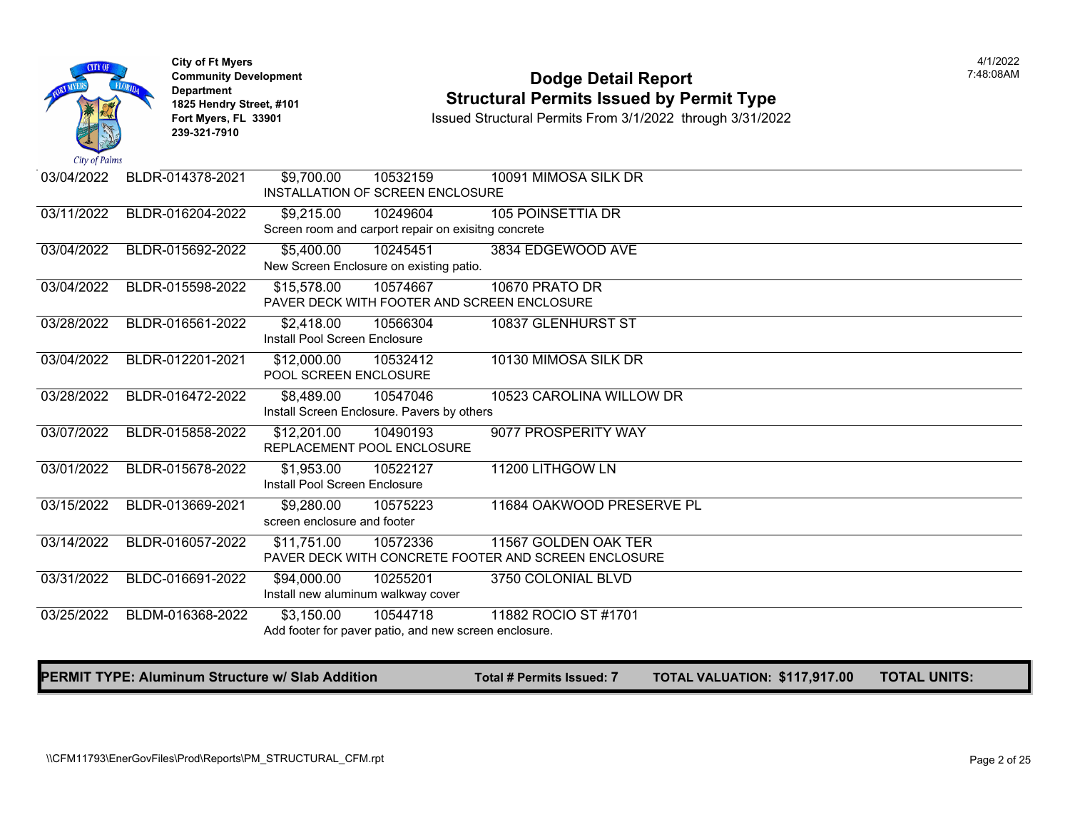

**City of Ft Myers** 4/1/2022 **Department 239-321-7910** 

### **Community Development Community Development Community Development 1825 Hendry Street, #101 1825 Hendry Street, #101 1825 Hendry Street, #101 Structural Permits Issued by Permit Type**<br>**1825 Fort Myers, FL 33901 188901 1889 Issued Structural Permits From 3/1/2022** through 3/31/2

**Fort Myers, FL 33901** Issued Structural Permits From 3/1/2022 through 3/31/2022

| City of Palms |                  |                               |                                                       |                                                      |  |
|---------------|------------------|-------------------------------|-------------------------------------------------------|------------------------------------------------------|--|
| 03/04/2022    | BLDR-014378-2021 | \$9,700.00                    | 10532159<br>INSTALLATION OF SCREEN ENCLOSURE          | 10091 MIMOSA SILK DR                                 |  |
| 03/11/2022    | BLDR-016204-2022 | \$9,215.00                    | 10249604                                              | <b>105 POINSETTIA DR</b>                             |  |
|               |                  |                               | Screen room and carport repair on exisitng concrete   |                                                      |  |
| 03/04/2022    | BLDR-015692-2022 | \$5,400.00                    | 10245451                                              | 3834 EDGEWOOD AVE                                    |  |
|               |                  |                               | New Screen Enclosure on existing patio.               |                                                      |  |
| 03/04/2022    | BLDR-015598-2022 | \$15,578.00                   | 10574667                                              | <b>10670 PRATO DR</b>                                |  |
|               |                  |                               |                                                       | PAVER DECK WITH FOOTER AND SCREEN ENCLOSURE          |  |
| 03/28/2022    | BLDR-016561-2022 | \$2,418.00                    | 10566304                                              | 10837 GLENHURST ST                                   |  |
|               |                  | Install Pool Screen Enclosure |                                                       |                                                      |  |
| 03/04/2022    | BLDR-012201-2021 | \$12,000.00                   | 10532412                                              | 10130 MIMOSA SILK DR                                 |  |
|               |                  | POOL SCREEN ENCLOSURE         |                                                       |                                                      |  |
| 03/28/2022    | BLDR-016472-2022 | $\overline{$8,489.00}$        | 10547046                                              | 10523 CAROLINA WILLOW DR                             |  |
|               |                  |                               | Install Screen Enclosure. Pavers by others            |                                                      |  |
| 03/07/2022    | BLDR-015858-2022 | \$12,201.00                   | 10490193                                              | 9077 PROSPERITY WAY                                  |  |
|               |                  |                               | REPLACEMENT POOL ENCLOSURE                            |                                                      |  |
| 03/01/2022    | BLDR-015678-2022 | \$1,953.00                    | 10522127                                              | 11200 LITHGOW LN                                     |  |
|               |                  | Install Pool Screen Enclosure |                                                       |                                                      |  |
| 03/15/2022    | BLDR-013669-2021 | \$9,280.00                    | 10575223                                              | 11684 OAKWOOD PRESERVE PL                            |  |
|               |                  | screen enclosure and footer   |                                                       |                                                      |  |
| 03/14/2022    | BLDR-016057-2022 | \$11,751.00                   | 10572336                                              | 11567 GOLDEN OAK TER                                 |  |
|               |                  |                               |                                                       | PAVER DECK WITH CONCRETE FOOTER AND SCREEN ENCLOSURE |  |
| 03/31/2022    | BLDC-016691-2022 | \$94,000.00                   | 10255201                                              | 3750 COLONIAL BLVD                                   |  |
|               |                  |                               | Install new aluminum walkway cover                    |                                                      |  |
| 03/25/2022    | BLDM-016368-2022 | \$3,150.00                    | 10544718                                              | 11882 ROCIO ST #1701                                 |  |
|               |                  |                               | Add footer for paver patio, and new screen enclosure. |                                                      |  |
|               |                  |                               |                                                       |                                                      |  |

#### **PERMIT TYPE: Aluminum Structure w/ Slab Addition The Conset Total # Permits Issued: 7 TOTAL VALUATION: \$117,91**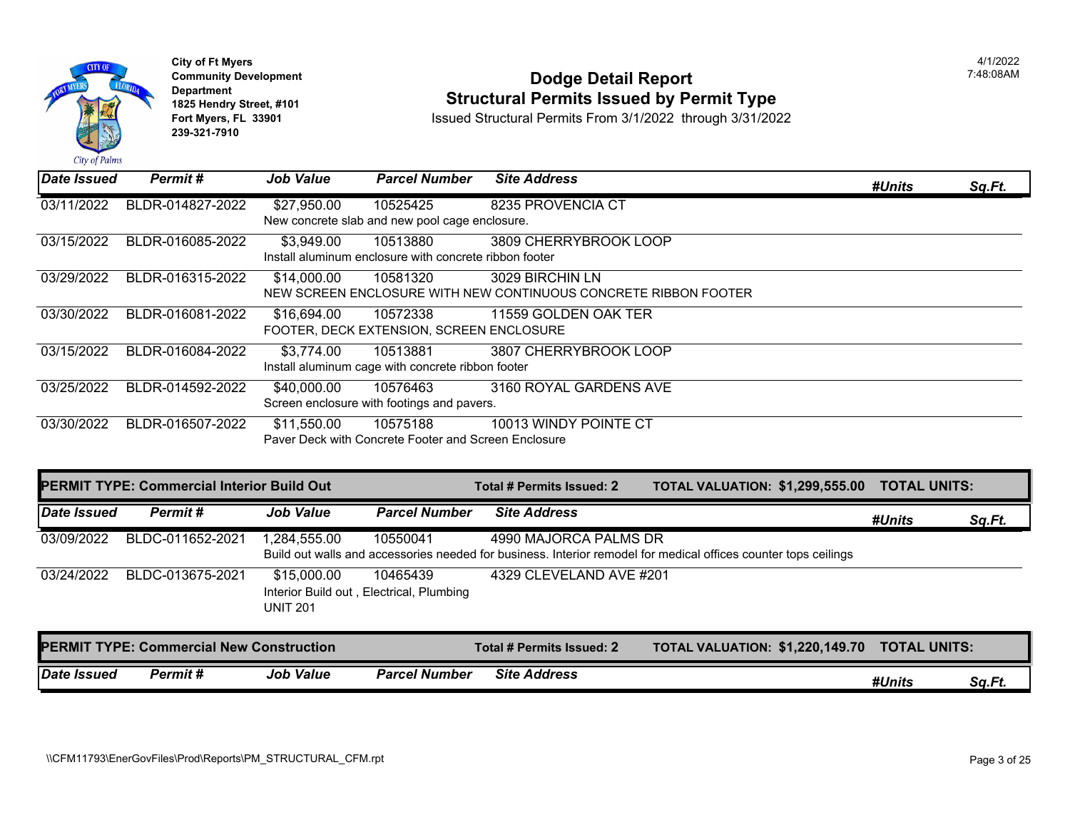

### **Community Development Dodge Detail Report** 7:48:08AM **1825 Hendry Street, #101**<br>1825 Hendry Street, #101 **Structural Permits Issued by Permit Type**<br>1891 Issued Structural Permits From 3/1/2022 through 3/31/202

| Date Issued | <b>Permit#</b>                                    | <b>Job Value</b>               | <b>Parcel Number</b>                                               | <b>Site Address</b>                                                                |                                                                                                                 | #Units              | Sq.Ft. |
|-------------|---------------------------------------------------|--------------------------------|--------------------------------------------------------------------|------------------------------------------------------------------------------------|-----------------------------------------------------------------------------------------------------------------|---------------------|--------|
| 03/11/2022  | BLDR-014827-2022                                  | \$27,950.00                    | 10525425<br>New concrete slab and new pool cage enclosure.         | 8235 PROVENCIA CT                                                                  |                                                                                                                 |                     |        |
| 03/15/2022  | BLDR-016085-2022                                  | \$3,949.00                     | 10513880<br>Install aluminum enclosure with concrete ribbon footer | 3809 CHERRYBROOK LOOP                                                              |                                                                                                                 |                     |        |
| 03/29/2022  | BLDR-016315-2022                                  | \$14,000.00                    | 10581320                                                           | 3029 BIRCHIN LN<br>NEW SCREEN ENCLOSURE WITH NEW CONTINUOUS CONCRETE RIBBON FOOTER |                                                                                                                 |                     |        |
| 03/30/2022  | BLDR-016081-2022                                  | \$16,694.00                    | 10572338<br>FOOTER, DECK EXTENSION, SCREEN ENCLOSURE               | 11559 GOLDEN OAK TER                                                               |                                                                                                                 |                     |        |
| 03/15/2022  | BLDR-016084-2022                                  | \$3,774.00                     | 10513881<br>Install aluminum cage with concrete ribbon footer      | 3807 CHERRYBROOK LOOP                                                              |                                                                                                                 |                     |        |
| 03/25/2022  | BLDR-014592-2022                                  | \$40,000.00                    | 10576463<br>Screen enclosure with footings and pavers.             | 3160 ROYAL GARDENS AVE                                                             |                                                                                                                 |                     |        |
| 03/30/2022  | BLDR-016507-2022                                  | \$11,550.00                    | 10575188<br>Paver Deck with Concrete Footer and Screen Enclosure   | 10013 WINDY POINTE CT                                                              |                                                                                                                 |                     |        |
|             | <b>PERMIT TYPE: Commercial Interior Build Out</b> |                                |                                                                    | <b>Total # Permits Issued: 2</b>                                                   | <b>TOTAL VALUATION: \$1,299,555.00</b>                                                                          | <b>TOTAL UNITS:</b> |        |
| Date Issued | <b>Permit#</b>                                    | <b>Job Value</b>               | <b>Parcel Number</b>                                               | <b>Site Address</b>                                                                |                                                                                                                 | #Units              | Sq.Ft. |
| 03/09/2022  | BLDC-011652-2021                                  | 1,284,555.00                   | 10550041                                                           | 4990 MAJORCA PALMS DR                                                              | Build out walls and accessories needed for business. Interior remodel for medical offices counter tops ceilings |                     |        |
| 03/24/2022  | BLDC-013675-2021                                  | \$15,000.00<br><b>UNIT 201</b> | 10465439<br>Interior Build out, Electrical, Plumbing               | 4329 CLEVELAND AVE #201                                                            |                                                                                                                 |                     |        |
|             | <b>PERMIT TYPE: Commercial New Construction</b>   |                                |                                                                    | Total # Permits Issued: 2                                                          | <b>TOTAL VALUATION: \$1,220,149.70</b>                                                                          | <b>TOTAL UNITS:</b> |        |
| Date Issued | Permit#                                           | <b>Job Value</b>               | <b>Parcel Number</b>                                               | <b>Site Address</b>                                                                |                                                                                                                 | #Units              | Sq.Ft. |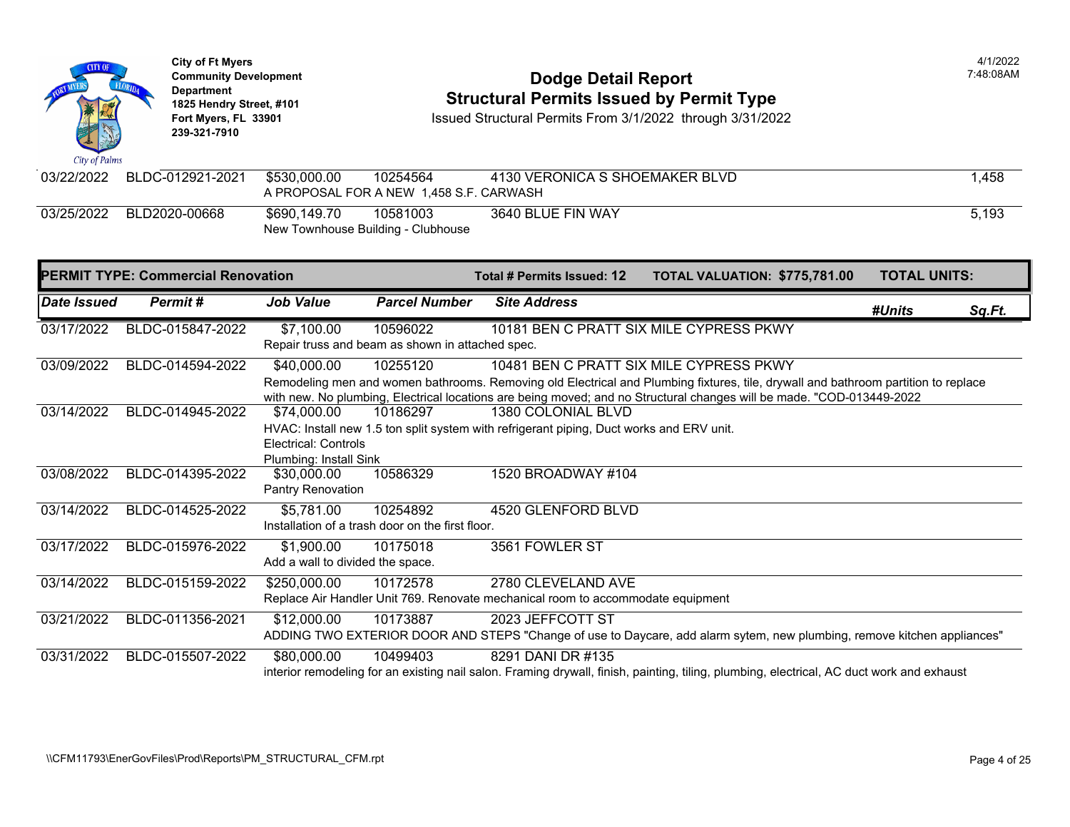

### **Community Development Community Development Community Development Community Dodge Detail Report 1825 Hendry Street, #101** Structural Permits Issued by Permit Type<br>1825 Hendry Street, #101 **Structural Permits Issued Structural Permits From 3/1/2022** through 3/31/202

| 03/22/2022 | BLDC-012921-2021 | \$530,000.00                                       | 10254564<br>A PROPOSAL FOR A NEW 1.458 S.F. CARWASH | 4130 VERONICA S SHOEMAKER BLVD |
|------------|------------------|----------------------------------------------------|-----------------------------------------------------|--------------------------------|
| 03/25/2022 | BLD2020-00668    | \$690.149.70<br>New Townhouse Building - Clubhouse | 10581003                                            | 3640 BLUE FIN WAY              |

|             | <b>PERMIT TYPE: Commercial Renovation</b> |                                                                                          |                                                  | Total # Permits Issued: 12                                                      | <b>TOTAL VALUATION: \$775,78</b>                                                                                 |  |  |  |
|-------------|-------------------------------------------|------------------------------------------------------------------------------------------|--------------------------------------------------|---------------------------------------------------------------------------------|------------------------------------------------------------------------------------------------------------------|--|--|--|
| Date Issued | Permit#                                   | Job Value                                                                                | <b>Parcel Number</b>                             | <b>Site Address</b>                                                             |                                                                                                                  |  |  |  |
| 03/17/2022  | BLDC-015847-2022                          | \$7,100.00                                                                               | 10596022                                         |                                                                                 | 10181 BEN C PRATT SIX MILE CYPRESS PKWY                                                                          |  |  |  |
|             |                                           |                                                                                          | Repair truss and beam as shown in attached spec. |                                                                                 |                                                                                                                  |  |  |  |
| 03/09/2022  | BLDC-014594-2022                          | \$40,000.00                                                                              | 10255120                                         |                                                                                 | 10481 BEN C PRATT SIX MILE CYPRESS PKWY                                                                          |  |  |  |
|             |                                           |                                                                                          |                                                  |                                                                                 | Remodeling men and women bathrooms. Removing old Electrical and Plumbing fixtures, tile, drywall and             |  |  |  |
|             |                                           |                                                                                          |                                                  |                                                                                 | with new. No plumbing, Electrical locations are being moved; and no Structural changes will be made. "C          |  |  |  |
| 03/14/2022  | BLDC-014945-2022                          | \$74,000.00                                                                              | 10186297                                         | 1380 COLONIAL BLVD                                                              |                                                                                                                  |  |  |  |
|             |                                           | HVAC: Install new 1.5 ton split system with refrigerant piping, Duct works and ERV unit. |                                                  |                                                                                 |                                                                                                                  |  |  |  |
|             |                                           | Electrical: Controls                                                                     |                                                  |                                                                                 |                                                                                                                  |  |  |  |
|             |                                           | Plumbing: Install Sink                                                                   |                                                  |                                                                                 |                                                                                                                  |  |  |  |
| 03/08/2022  | BLDC-014395-2022                          | \$30,000.00                                                                              | 10586329                                         | 1520 BROADWAY #104                                                              |                                                                                                                  |  |  |  |
|             |                                           | <b>Pantry Renovation</b>                                                                 |                                                  |                                                                                 |                                                                                                                  |  |  |  |
| 03/14/2022  | BLDC-014525-2022                          | \$5,781.00                                                                               | 10254892                                         | 4520 GLENFORD BLVD                                                              |                                                                                                                  |  |  |  |
|             |                                           |                                                                                          | Installation of a trash door on the first floor. |                                                                                 |                                                                                                                  |  |  |  |
| 03/17/2022  | BLDC-015976-2022                          | \$1,900.00                                                                               | 10175018                                         | 3561 FOWLER ST                                                                  |                                                                                                                  |  |  |  |
|             |                                           | Add a wall to divided the space.                                                         |                                                  |                                                                                 |                                                                                                                  |  |  |  |
| 03/14/2022  | BLDC-015159-2022                          | \$250,000.00                                                                             | 10172578                                         | 2780 CLEVELAND AVE                                                              |                                                                                                                  |  |  |  |
|             |                                           |                                                                                          |                                                  | Replace Air Handler Unit 769. Renovate mechanical room to accommodate equipment |                                                                                                                  |  |  |  |
| 03/21/2022  | BLDC-011356-2021                          | \$12,000.00                                                                              | 10173887                                         | 2023 JEFFCOTT ST                                                                |                                                                                                                  |  |  |  |
|             |                                           |                                                                                          |                                                  |                                                                                 | ADDING TWO EXTERIOR DOOR AND STEPS "Change of use to Daycare, add alarm sytem, new plum                          |  |  |  |
| 03/31/2022  | BLDC-015507-2022                          | \$80,000.00                                                                              | 10499403                                         | 8291 DANI DR #135                                                               |                                                                                                                  |  |  |  |
|             |                                           |                                                                                          |                                                  |                                                                                 | interior remodeling for an existing nail salon. Framing drywall, finish, painting, tiling, plumbing, electrical, |  |  |  |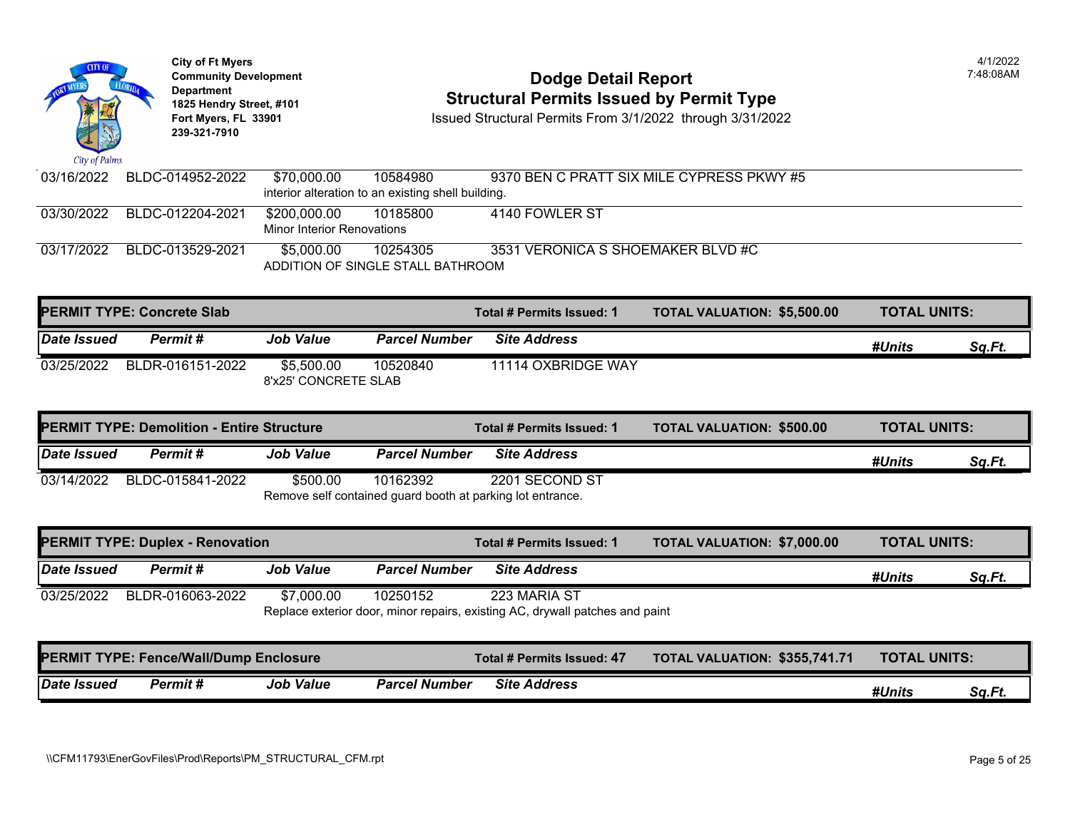| City of Palms      | <b>City of Ft Myers</b><br><b>Community Development</b><br><b>Department</b><br>1825 Hendry Street, #101<br>Fort Myers, FL 33901<br>239-321-7910 |                                                   |                                                                        | <b>Dodge Detail Report</b><br><b>Structural Permits Issued by Permit Type</b><br>Issued Structural Permits From 3/1/2022 through 3/31/2022 |                                  |  |  |
|--------------------|--------------------------------------------------------------------------------------------------------------------------------------------------|---------------------------------------------------|------------------------------------------------------------------------|--------------------------------------------------------------------------------------------------------------------------------------------|----------------------------------|--|--|
| 03/16/2022         | BLDC-014952-2022                                                                                                                                 | \$70,000.00                                       | 10584980<br>interior alteration to an existing shell building.         | 9370 BEN C PRATT SIX MILE CYPRESS PKWY #5                                                                                                  |                                  |  |  |
| 03/30/2022         | BLDC-012204-2021                                                                                                                                 | \$200,000.00<br><b>Minor Interior Renovations</b> | 10185800                                                               | 4140 FOWLER ST                                                                                                                             |                                  |  |  |
| 03/17/2022         | BLDC-013529-2021                                                                                                                                 | \$5,000.00                                        | 10254305<br>ADDITION OF SINGLE STALL BATHROOM                          | 3531 VERONICA S SHOEMAKER BLVD #C                                                                                                          |                                  |  |  |
|                    | <b>PERMIT TYPE: Concrete Slab</b>                                                                                                                |                                                   |                                                                        | Total # Permits Issued: 1                                                                                                                  | <b>TOTAL VALUATION: \$5,500.</b> |  |  |
| Date Issued        | Permit#                                                                                                                                          | <b>Job Value</b>                                  | <b>Parcel Number</b>                                                   | <b>Site Address</b>                                                                                                                        |                                  |  |  |
| 03/25/2022         | BLDR-016151-2022                                                                                                                                 | \$5,500.00<br>8'x25' CONCRETE SLAB                | 10520840                                                               | 11114 OXBRIDGE WAY                                                                                                                         |                                  |  |  |
|                    |                                                                                                                                                  |                                                   |                                                                        | Total # Permits Issued: 1                                                                                                                  | <b>TOTAL VALUATION: \$500.00</b> |  |  |
|                    | <b>PERMIT TYPE: Demolition - Entire Structure</b>                                                                                                |                                                   |                                                                        |                                                                                                                                            |                                  |  |  |
| <b>Date Issued</b> | Permit#                                                                                                                                          | <b>Job Value</b>                                  | <b>Parcel Number</b>                                                   | <b>Site Address</b>                                                                                                                        |                                  |  |  |
| 03/14/2022         | BLDC-015841-2022                                                                                                                                 | \$500.00                                          | 10162392<br>Remove self contained guard booth at parking lot entrance. | 2201 SECOND ST                                                                                                                             |                                  |  |  |
|                    | <b>PERMIT TYPE: Duplex - Renovation</b>                                                                                                          |                                                   |                                                                        | Total # Permits Issued: 1                                                                                                                  | <b>TOTAL VALUATION: \$7,000.</b> |  |  |
| Date Issued        | Permit#                                                                                                                                          | <b>Job Value</b>                                  | <b>Parcel Number</b>                                                   | <b>Site Address</b>                                                                                                                        |                                  |  |  |
| 03/25/2022         | BLDR-016063-2022                                                                                                                                 | \$7,000.00                                        | 10250152                                                               | 223 MARIA ST<br>Replace exterior door, minor repairs, existing AC, drywall patches and paint                                               |                                  |  |  |
|                    | PERMIT TYPE: Fence/Wall/Dump Enclosure                                                                                                           |                                                   |                                                                        | <b>Total # Permits Issued: 47</b>                                                                                                          | <b>TOTAL VALUATION: \$355,74</b> |  |  |
| Date Issued        | Permit#                                                                                                                                          | <b>Job Value</b>                                  | <b>Parcel Number</b>                                                   | <b>Site Address</b>                                                                                                                        |                                  |  |  |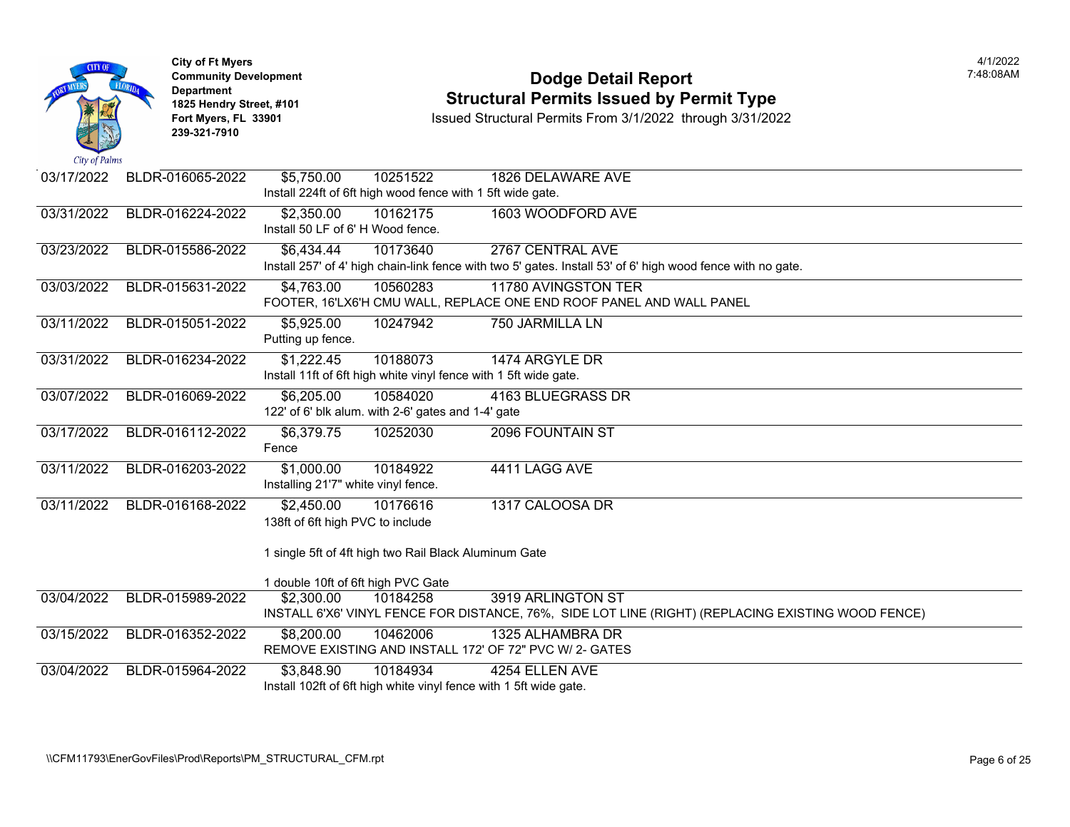| City of Palms | <b>City of Ft Myers</b><br><b>Community Development</b><br><b>Department</b><br>1825 Hendry Street, #101<br>Fort Myers, FL 33901<br>239-321-7910 | <b>Dodge Detail Report</b><br><b>Structural Permits Issued by Permit Type</b><br>Issued Structural Permits From 3/1/2022 through 3/31/2022                                 |
|---------------|--------------------------------------------------------------------------------------------------------------------------------------------------|----------------------------------------------------------------------------------------------------------------------------------------------------------------------------|
| 03/17/2022    | BLDR-016065-2022                                                                                                                                 | \$5,750.00<br>10251522<br>1826 DELAWARE AVE<br>Install 224ft of 6ft high wood fence with 1 5ft wide gate.                                                                  |
| 03/31/2022    | BLDR-016224-2022                                                                                                                                 | \$2,350.00<br>10162175<br>1603 WOODFORD AVE<br>Install 50 LF of 6' H Wood fence.                                                                                           |
| 03/23/2022    | BLDR-015586-2022                                                                                                                                 | \$6,434.44<br>10173640<br>2767 CENTRAL AVE<br>Install 257' of 4' high chain-link fence with two 5' gates. Install 53' of 6' high wood fence with no gate.                  |
| 03/03/2022    | BLDR-015631-2022                                                                                                                                 | \$4,763.00<br>10560283<br>11780 AVINGSTON TER<br>FOOTER, 16'LX6'H CMU WALL, REPLACE ONE END ROOF PANEL AND WALL PANEL                                                      |
| 03/11/2022    | BLDR-015051-2022                                                                                                                                 | \$5,925.00<br>10247942<br>750 JARMILLA LN<br>Putting up fence.                                                                                                             |
| 03/31/2022    | BLDR-016234-2022                                                                                                                                 | \$1,222.45<br>10188073<br>1474 ARGYLE DR<br>Install 11ft of 6ft high white vinyl fence with 1 5ft wide gate.                                                               |
| 03/07/2022    | BLDR-016069-2022                                                                                                                                 | \$6,205.00<br>10584020<br>4163 BLUEGRASS DR<br>122' of 6' blk alum. with 2-6' gates and 1-4' gate                                                                          |
| 03/17/2022    | BLDR-016112-2022                                                                                                                                 | \$6,379.75<br>10252030<br>2096 FOUNTAIN ST<br>Fence                                                                                                                        |
| 03/11/2022    | BLDR-016203-2022                                                                                                                                 | 10184922<br>4411 LAGG AVE<br>\$1,000.00<br>Installing 21'7" white vinyl fence.                                                                                             |
| 03/11/2022    | BLDR-016168-2022                                                                                                                                 | \$2,450.00<br>1317 CALOOSA DR<br>10176616<br>138ft of 6ft high PVC to include                                                                                              |
|               |                                                                                                                                                  | 1 single 5ft of 4ft high two Rail Black Aluminum Gate                                                                                                                      |
| 03/04/2022    | BLDR-015989-2022                                                                                                                                 | 1 double 10ft of 6ft high PVC Gate<br>3919 ARLINGTON ST<br>\$2,300.00<br>10184258<br>INSTALL 6'X6' VINYL FENCE FOR DISTANCE, 76%, SIDE LOT LINE (RIGHT) (REPLACING EXISTIN |
| 03/15/2022    | BLDR-016352-2022                                                                                                                                 | \$8,200.00<br>10462006<br>1325 ALHAMBRA DR<br>REMOVE EXISTING AND INSTALL 172' OF 72" PVC W/ 2- GATES                                                                      |
| 03/04/2022    | BLDR-015964-2022                                                                                                                                 | 10184934<br>4254 ELLEN AVE<br>\$3,848.90<br>Install 102ft of 6ft high white vinyl fence with 1 5ft wide gate.                                                              |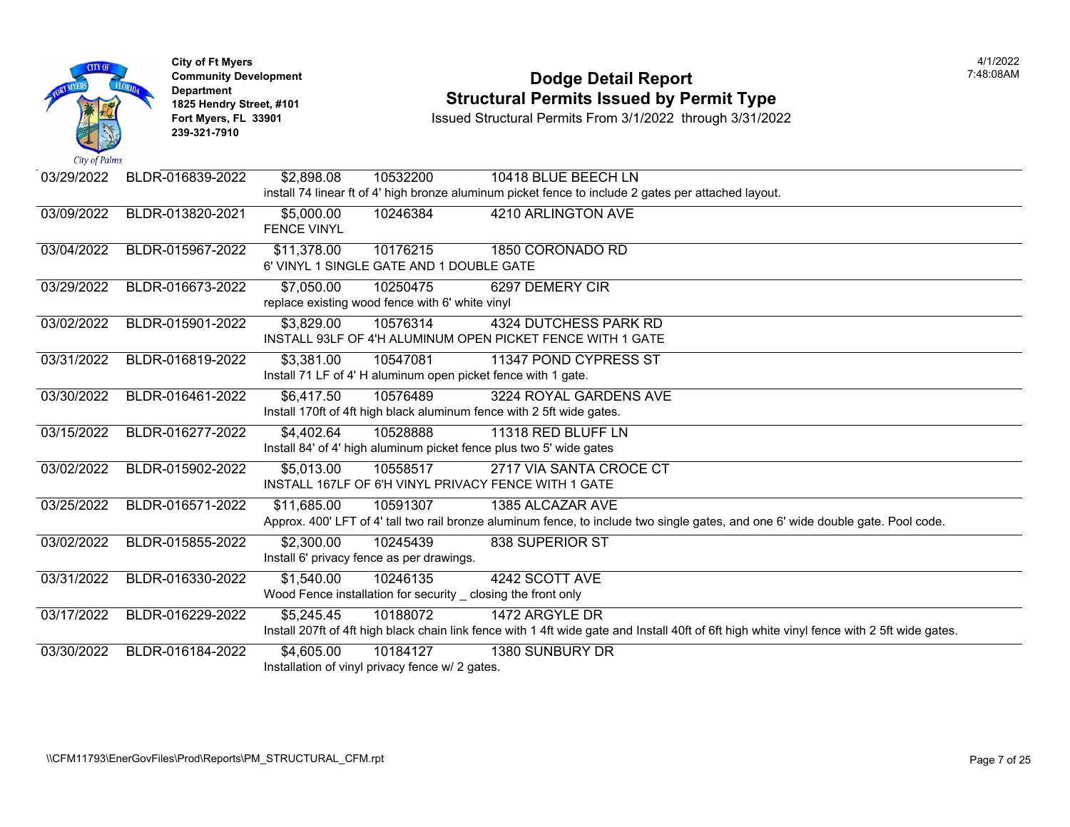

### **Community Development Community Development Community Development 1825 Hendry Street, #101 1825 Hendry Street, #101 1825 Hendry Street, #101 Structural Permits Issued by Permit Type**<br>**1825 Fort Myers, FL 33901 18901 1889 Issued Structural Permits From 3/1/2022** through 3/31/20

| City of Paims |                  |                                                 |          |                                                                                                                    |  |
|---------------|------------------|-------------------------------------------------|----------|--------------------------------------------------------------------------------------------------------------------|--|
| 03/29/2022    | BLDR-016839-2022 | \$2,898.08                                      | 10532200 | 10418 BLUE BEECH LN                                                                                                |  |
|               |                  |                                                 |          | install 74 linear ft of 4' high bronze aluminum picket fence to include 2 gates per attached layout.               |  |
| 03/09/2022    | BLDR-013820-2021 | \$5,000.00                                      | 10246384 | 4210 ARLINGTON AVE                                                                                                 |  |
|               |                  | <b>FENCE VINYL</b>                              |          |                                                                                                                    |  |
| 03/04/2022    | BLDR-015967-2022 | \$11,378.00                                     | 10176215 | 1850 CORONADO RD                                                                                                   |  |
|               |                  | 6' VINYL 1 SINGLE GATE AND 1 DOUBLE GATE        |          |                                                                                                                    |  |
| 03/29/2022    | BLDR-016673-2022 | \$7,050.00                                      | 10250475 | 6297 DEMERY CIR                                                                                                    |  |
|               |                  | replace existing wood fence with 6' white vinyl |          |                                                                                                                    |  |
| 03/02/2022    | BLDR-015901-2022 | \$3,829.00                                      | 10576314 | <b>4324 DUTCHESS PARK RD</b>                                                                                       |  |
|               |                  |                                                 |          | INSTALL 93LF OF 4'H ALUMINUM OPEN PICKET FENCE WITH 1 GATE                                                         |  |
| 03/31/2022    | BLDR-016819-2022 | \$3,381.00                                      | 10547081 | 11347 POND CYPRESS ST                                                                                              |  |
|               |                  |                                                 |          | Install 71 LF of 4' H aluminum open picket fence with 1 gate.                                                      |  |
| 03/30/2022    | BLDR-016461-2022 | \$6,417.50                                      | 10576489 | 3224 ROYAL GARDENS AVE                                                                                             |  |
|               |                  |                                                 |          | Install 170ft of 4ft high black aluminum fence with 2 5ft wide gates.                                              |  |
| 03/15/2022    | BLDR-016277-2022 | \$4,402.64                                      | 10528888 | 11318 RED BLUFF LN                                                                                                 |  |
|               |                  |                                                 |          | Install 84' of 4' high aluminum picket fence plus two 5' wide gates                                                |  |
| 03/02/2022    | BLDR-015902-2022 | \$5,013.00                                      | 10558517 | 2717 VIA SANTA CROCE CT                                                                                            |  |
|               |                  |                                                 |          | INSTALL 167LF OF 6'H VINYL PRIVACY FENCE WITH 1 GATE                                                               |  |
| 03/25/2022    | BLDR-016571-2022 | \$11,685.00                                     | 10591307 | 1385 ALCAZAR AVE                                                                                                   |  |
|               |                  |                                                 |          | Approx. 400' LFT of 4' tall two rail bronze aluminum fence, to include two single gates, and one 6' wide do        |  |
| 03/02/2022    | BLDR-015855-2022 | \$2,300.00                                      | 10245439 | 838 SUPERIOR ST                                                                                                    |  |
|               |                  | Install 6' privacy fence as per drawings.       |          |                                                                                                                    |  |
| 03/31/2022    | BLDR-016330-2022 | \$1,540.00                                      | 10246135 | 4242 SCOTT AVE                                                                                                     |  |
|               |                  |                                                 |          | Wood Fence installation for security _ closing the front only                                                      |  |
| 03/17/2022    | BLDR-016229-2022 | \$5,245.45                                      | 10188072 | 1472 ARGYLE DR                                                                                                     |  |
|               |                  |                                                 |          | Install 207ft of 4ft high black chain link fence with 1 4ft wide gate and Install 40ft of 6ft high white vinyl fen |  |
| 03/30/2022    | BLDR-016184-2022 | \$4,605.00                                      | 10184127 | 1380 SUNBURY DR                                                                                                    |  |
|               |                  | Installation of vinyl privacy fence w/ 2 gates. |          |                                                                                                                    |  |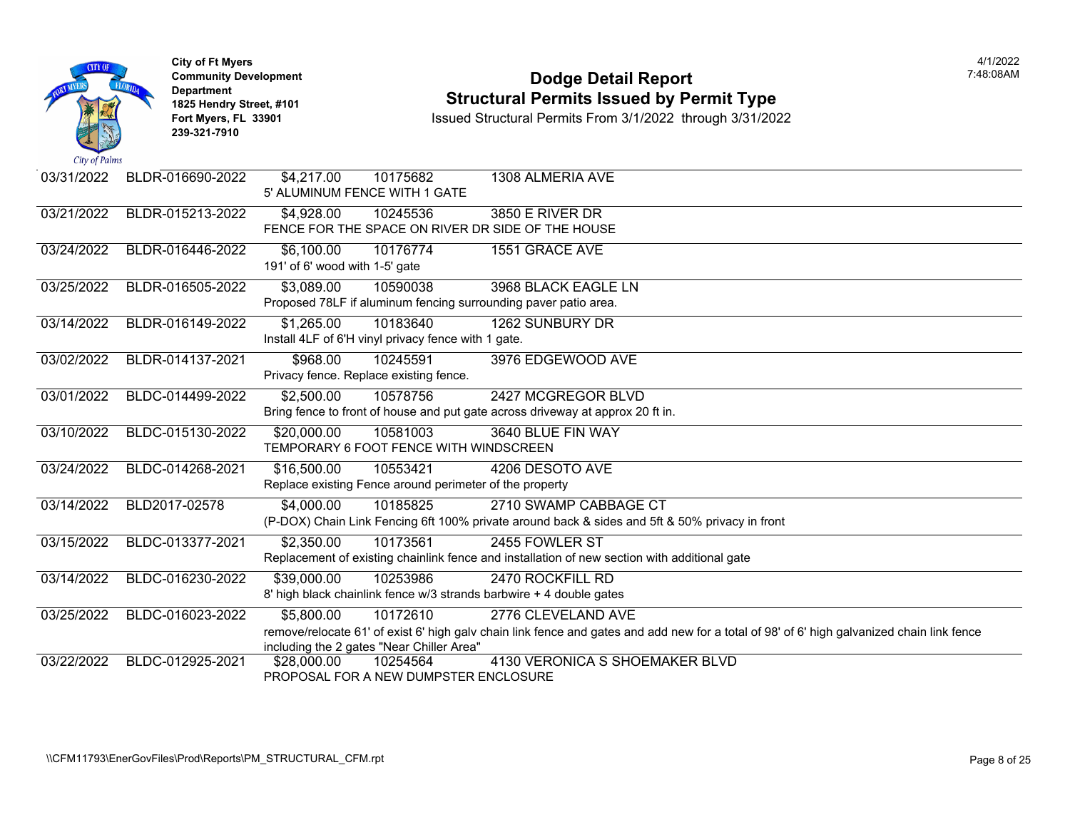

### **Community Development Dodge Detail Report** 7:48:08AM **1825 Hendry Street, #101**<br>1825 Hendry Street, #101 **Structural Permits Issued by Permit Type**<br>1891 Issued Structural Permits From 3/1/2022 through 3/31/202

| 03/31/2022 | BLDR-016690-2022 | \$4,217.00<br>10175682<br>1308 ALMERIA AVE<br>5' ALUMINUM FENCE WITH 1 GATE                                                                                                                                                             |
|------------|------------------|-----------------------------------------------------------------------------------------------------------------------------------------------------------------------------------------------------------------------------------------|
| 03/21/2022 | BLDR-015213-2022 | <b>3850 E RIVER DR</b><br>\$4,928.00<br>10245536<br>FENCE FOR THE SPACE ON RIVER DR SIDE OF THE HOUSE                                                                                                                                   |
| 03/24/2022 | BLDR-016446-2022 | 10176774<br>\$6,100.00<br>1551 GRACE AVE<br>191' of 6' wood with 1-5' gate                                                                                                                                                              |
| 03/25/2022 | BLDR-016505-2022 | \$3,089.00<br>3968 BLACK EAGLE LN<br>10590038<br>Proposed 78LF if aluminum fencing surrounding paver patio area.                                                                                                                        |
| 03/14/2022 | BLDR-016149-2022 | \$1,265.00<br>10183640<br>1262 SUNBURY DR<br>Install 4LF of 6'H vinyl privacy fence with 1 gate.                                                                                                                                        |
| 03/02/2022 | BLDR-014137-2021 | \$968.00<br>3976 EDGEWOOD AVE<br>10245591<br>Privacy fence. Replace existing fence.                                                                                                                                                     |
| 03/01/2022 | BLDC-014499-2022 | 2427 MCGREGOR BLVD<br>\$2,500.00<br>10578756<br>Bring fence to front of house and put gate across driveway at approx 20 ft in.                                                                                                          |
| 03/10/2022 | BLDC-015130-2022 | 10581003<br>3640 BLUE FIN WAY<br>\$20,000.00<br>TEMPORARY 6 FOOT FENCE WITH WINDSCREEN                                                                                                                                                  |
| 03/24/2022 | BLDC-014268-2021 | \$16,500.00<br>10553421<br>4206 DESOTO AVE<br>Replace existing Fence around perimeter of the property                                                                                                                                   |
| 03/14/2022 | BLD2017-02578    | 2710 SWAMP CABBAGE CT<br>\$4,000.00<br>10185825<br>(P-DOX) Chain Link Fencing 6ft 100% private around back & sides and 5ft & 50% privacy in front                                                                                       |
| 03/15/2022 | BLDC-013377-2021 | \$2,350.00<br>10173561<br>2455 FOWLER ST<br>Replacement of existing chainlink fence and installation of new section with additional gate                                                                                                |
| 03/14/2022 | BLDC-016230-2022 | \$39,000.00<br>10253986<br>2470 ROCKFILL RD<br>8' high black chainlink fence w/3 strands barbwire + 4 double gates                                                                                                                      |
| 03/25/2022 | BLDC-016023-2022 | \$5,800.00<br>10172610<br>2776 CLEVELAND AVE<br>remove/relocate 61' of exist 6' high galv chain link fence and gates and add new for a total of 98' of 6' high galvanized chain link fence<br>including the 2 gates "Near Chiller Area" |
| 03/22/2022 | BLDC-012925-2021 | 4130 VERONICA S SHOEMAKER BLVD<br>10254564<br>\$28,000.00<br>PROPOSAL FOR A NEW DUMPSTER ENCLOSURE                                                                                                                                      |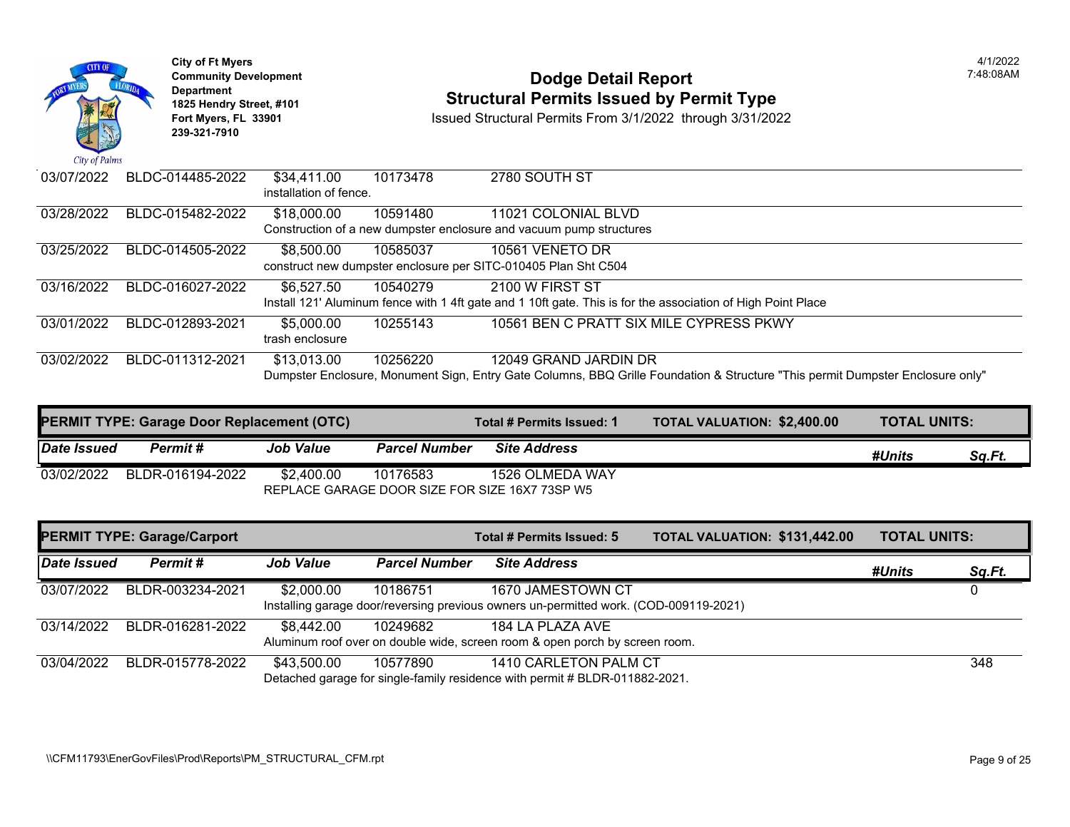

### **Community Development Community Development Community Development 1825 Hendry Street, #101 1825 Hendry Street, #101 1825 Hendry Street, #101 Structural Permits Issued by Permit Type**<br>**1825 Fort Myers, FL 33901 18901 1889 Issued Structural Permits From 3/1/2022** through 3/31/20

| 03/07/2022 | BLDC-014485-2022 | \$34,411.00<br>installation of fence. | 10173478 | 2780 SOUTH ST                                                                                                |
|------------|------------------|---------------------------------------|----------|--------------------------------------------------------------------------------------------------------------|
| 03/28/2022 | BLDC-015482-2022 | \$18,000.00                           | 10591480 | 11021 COLONIAL BLVD                                                                                          |
|            |                  |                                       |          | Construction of a new dumpster enclosure and vacuum pump structures                                          |
| 03/25/2022 | BLDC-014505-2022 | \$8,500,00                            | 10585037 | 10561 VENETO DR                                                                                              |
|            |                  |                                       |          | construct new dumpster enclosure per SITC-010405 Plan Sht C504                                               |
| 03/16/2022 | BLDC-016027-2022 | \$6,527.50                            | 10540279 | 2100 W FIRST ST                                                                                              |
|            |                  |                                       |          | Install 121' Aluminum fence with 1 4ft gate and 1 10ft gate. This is for the association of High Point Place |
| 03/01/2022 | BLDC-012893-2021 | \$5,000.00                            | 10255143 | 10561 BEN C PRATT SIX MILE CYPRESS PKWY                                                                      |
|            |                  | trash enclosure                       |          |                                                                                                              |
| 03/02/2022 | BLDC-011312-2021 | \$13,013.00                           | 10256220 | 12049 GRAND JARDIN DR                                                                                        |
|            |                  |                                       |          | Dumpster Enclosure, Monument Sign, Entry Gate Columns, BBQ Grille Foundation & Structure "This per           |

| <b>PERMIT TYPE: Garage Door Replacement (OTC)</b> |                  |                  |                      | Total # Permits Issued: 1 | <b>TOTAL VALUATION: \$2,400.0</b> |
|---------------------------------------------------|------------------|------------------|----------------------|---------------------------|-----------------------------------|
| Date Issued                                       | Permit#          | <b>Job Value</b> | <b>Parcel Number</b> | <b>Site Address</b>       |                                   |
| 03/02/2022                                        | BLDR-016194-2022 | \$2,400.00       | 10176583             | 1526 OLMEDA WAY           |                                   |
|                                                   |                  |                  |                      |                           |                                   |

| <b>PERMIT TYPE: Garage/Carport</b> |                  |                  | Total # Permits Issued: 5 | <b>TOTAL VALUATION: \$131,44</b>                                                                           |  |  |
|------------------------------------|------------------|------------------|---------------------------|------------------------------------------------------------------------------------------------------------|--|--|
| Date Issued                        | Permit #         | <b>Job Value</b> | <b>Parcel Number</b>      | <b>Site Address</b>                                                                                        |  |  |
| 03/07/2022                         | BLDR-003234-2021 | \$2,000.00       | 10186751                  | 1670 JAMESTOWN CT<br>Installing garage door/reversing previous owners un-permitted work. (COD-009119-2021) |  |  |
| 03/14/2022                         | BLDR-016281-2022 | \$8,442.00       | 10249682                  | 184 LA PLAZA AVE<br>Aluminum roof over on double wide, screen room & open porch by screen room.            |  |  |
| 03/04/2022                         | BLDR-015778-2022 | \$43,500.00      | 10577890                  | 1410 CARLETON PALM CT<br>Detached garage for single-family residence with permit # BLDR-011882-2021.       |  |  |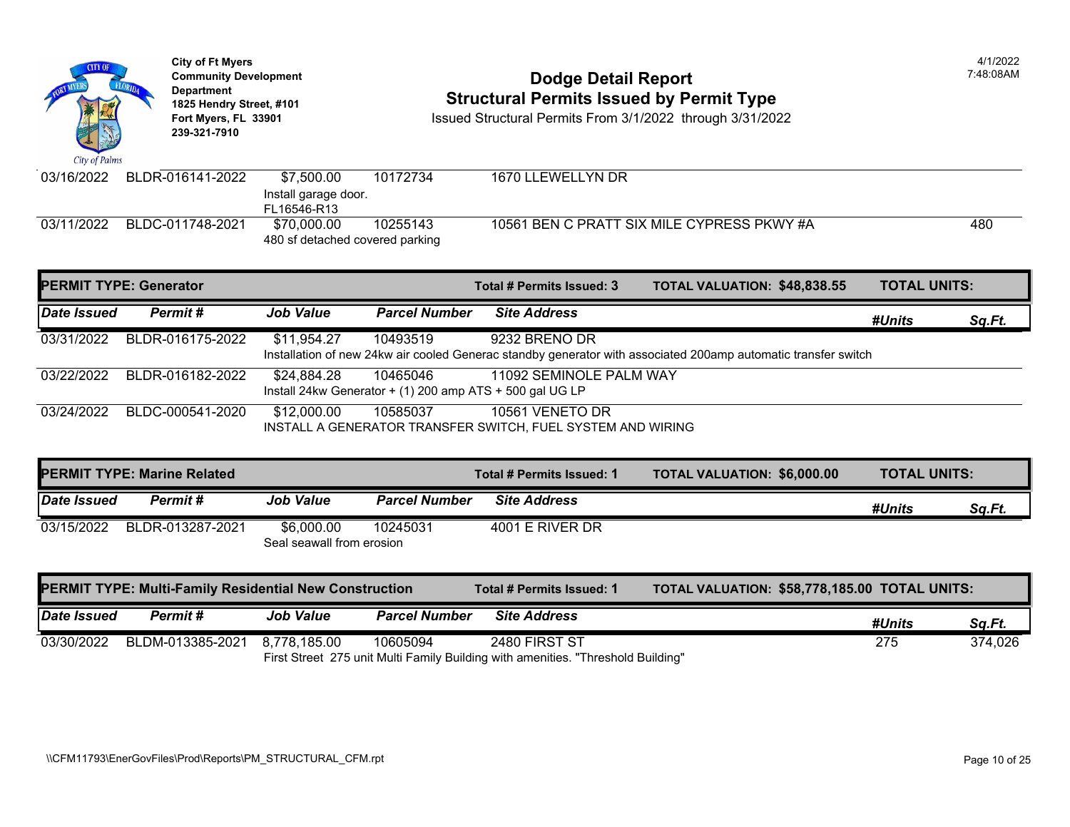

|             | <b>PERMIT TYPE: Generator</b> |                  |                      | Total # Permits Issued: 3                                                               | <b>TOTAL VALUATION: \$48,838</b>                                                                       |
|-------------|-------------------------------|------------------|----------------------|-----------------------------------------------------------------------------------------|--------------------------------------------------------------------------------------------------------|
| Date Issued | Permit #                      | <b>Job Value</b> | <b>Parcel Number</b> | <b>Site Address</b>                                                                     |                                                                                                        |
| 03/31/2022  | BLDR-016175-2022              | \$11,954.27      | 10493519             | 9232 BRENO DR                                                                           | Installation of new 24kw air cooled Generac standby generator with associated 200amp automatic transfe |
| 03/22/2022  | BLDR-016182-2022              | \$24,884.28      | 10465046             | 11092 SEMINOLE PALM WAY<br>Install 24kw Generator $+$ (1) 200 amp ATS $+$ 500 gal UG LP |                                                                                                        |
| 03/24/2022  | BLDC-000541-2020              | \$12,000.00      | 10585037             | 10561 VENETO DR<br>INSTALL A GENERATOR TRANSFER SWITCH, FUEL SYSTEM AND WIRING          |                                                                                                        |

|             | <b>PERMIT TYPE: Marine Related</b>                            |                                         |                      | Total # Permits Issued: 1 | <b>TOTAL VALUATION: \$6,000.0</b> |
|-------------|---------------------------------------------------------------|-----------------------------------------|----------------------|---------------------------|-----------------------------------|
| Date Issued | Permit #                                                      | <b>Job Value</b>                        | <b>Parcel Number</b> | <b>Site Address</b>       |                                   |
| 03/15/2022  | BLDR-013287-2021                                              | \$6,000.00<br>Seal seawall from erosion | 10245031             | 4001 E RIVER DR           |                                   |
|             | <b>PERMIT TYPE: Multi-Family Residential New Construction</b> |                                         |                      | Total # Permits Issued: 1 | <b>TOTAL VALUATION: \$58,778</b>  |
| Date Issued | Permit#                                                       | <b>Job Value</b>                        | <b>Parcel Number</b> | <b>Site Address</b>       |                                   |
| 03/30/2022  | BLDM-013385-2021                                              | 8.778.185.00                            | 10605094             | 2480 FIRST ST             |                                   |

First Street 275 unit Multi Family Building with amenities. "Threshold Building"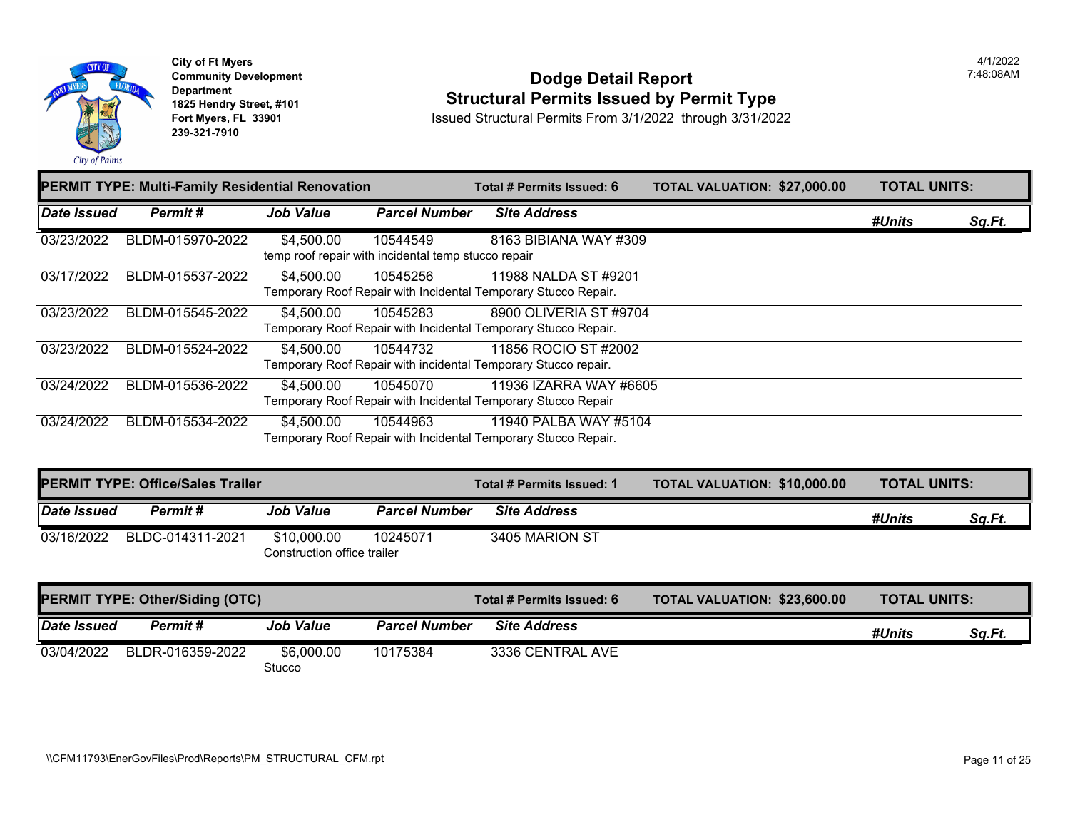

### **Community Development Community Development Community Development 1825 Hendry Street, #101 1825 Hendry Street, #101 1825 Hendry Street, #101 Structural Permits Issued by Permit Type**<br>**1825 Fort Myers, FL 33901 18901 1889 Issued Structural Permits From 3/1/2022** through 3/31/20

|             | PERMIT TYPE: Multi-Family Residential Renovation |                  |                                                                 | Total # Permits Issued: 6                                                                | <b>TOTAL VALUATION: \$27,000</b> |  |
|-------------|--------------------------------------------------|------------------|-----------------------------------------------------------------|------------------------------------------------------------------------------------------|----------------------------------|--|
| Date Issued | Permit#                                          | <b>Job Value</b> | <b>Parcel Number</b>                                            | <b>Site Address</b>                                                                      |                                  |  |
| 03/23/2022  | BLDM-015970-2022                                 | \$4,500.00       | 10544549<br>temp roof repair with incidental temp stucco repair | 8163 BIBIANA WAY #309                                                                    |                                  |  |
| 03/17/2022  | BLDM-015537-2022                                 | \$4,500.00       | 10545256                                                        | 11988 NALDA ST #9201<br>Temporary Roof Repair with Incidental Temporary Stucco Repair.   |                                  |  |
| 03/23/2022  | BLDM-015545-2022                                 | \$4,500.00       | 10545283                                                        | 8900 OLIVERIA ST #9704<br>Temporary Roof Repair with Incidental Temporary Stucco Repair. |                                  |  |
| 03/23/2022  | BLDM-015524-2022                                 | \$4,500.00       | 10544732                                                        | 11856 ROCIO ST #2002<br>Temporary Roof Repair with incidental Temporary Stucco repair.   |                                  |  |
| 03/24/2022  | BLDM-015536-2022                                 | \$4,500.00       | 10545070                                                        | 11936 IZARRA WAY #6605<br>Temporary Roof Repair with Incidental Temporary Stucco Repair  |                                  |  |
| 03/24/2022  | BLDM-015534-2022                                 | \$4,500.00       | 10544963                                                        | 11940 PALBA WAY #5104<br>Temporary Roof Repair with Incidental Temporary Stucco Repair.  |                                  |  |

| <b>PERMIT TYPE: Office/Sales Trailer</b> |                  |                             |                      | Total # Permits Issued: 1 | <b>TOTAL VALUATION: \$10,000</b> |
|------------------------------------------|------------------|-----------------------------|----------------------|---------------------------|----------------------------------|
| Date Issued                              | Permit#          | <b>Job Value</b>            | <b>Parcel Number</b> | <b>Site Address</b>       |                                  |
| 03/16/2022                               | BLDC-014311-2021 | \$10,000.00                 | 10245071             | 3405 MARION ST            |                                  |
|                                          |                  | Construction office trailer |                      |                           |                                  |

| <b>PERMIT TYPE: Other/Siding (OTC)</b> |                  |                      |                      | Total # Permits Issued: 6 | <b>TOTAL VALUATION: \$23,600</b> |
|----------------------------------------|------------------|----------------------|----------------------|---------------------------|----------------------------------|
| Date Issued                            | Permit #         | <b>Job Value</b>     | <b>Parcel Number</b> | <b>Site Address</b>       |                                  |
| 03/04/2022                             | BLDR-016359-2022 | \$6,000.00<br>Stucco | 10175384             | 3336 CENTRAL AVE          |                                  |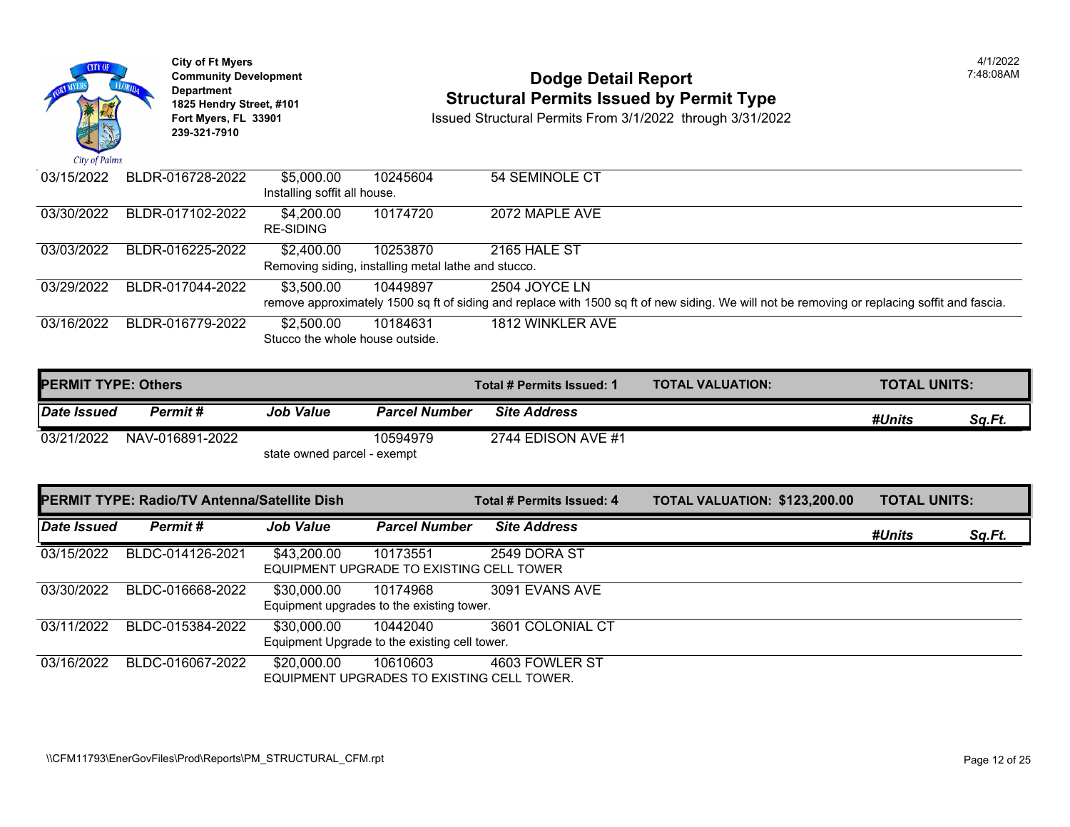

# City of Ft Myers<br> **Community Development**<br> **Dodge Detail Report 1825 Hendry Street, #101 1825 Hendry Street, #101 1825 Hendry Street, #101 Structural Permits Issued by Permit Type**<br>**1825 Fort Myers, FL 33901 18901 1889 Issued Structural Permits From 3/1/2022** through 3/31/20

| 03/15/2022 | BLDR-016728-2022 | \$5,000.00                      | 10245604                                            | 54 SEMINOLE CT                                                                                            |
|------------|------------------|---------------------------------|-----------------------------------------------------|-----------------------------------------------------------------------------------------------------------|
|            |                  | Installing soffit all house.    |                                                     |                                                                                                           |
| 03/30/2022 | BLDR-017102-2022 | \$4,200.00<br>RE-SIDING         | 10174720                                            | 2072 MAPLE AVE                                                                                            |
| 03/03/2022 | BLDR-016225-2022 | \$2,400.00                      | 10253870                                            | 2165 HALE ST                                                                                              |
|            |                  |                                 | Removing siding, installing metal lathe and stucco. |                                                                                                           |
| 03/29/2022 | BLDR-017044-2022 | \$3,500.00                      | 10449897                                            | 2504 JOYCE LN                                                                                             |
|            |                  |                                 |                                                     | remove approximately 1500 sq ft of siding and replace with 1500 sq ft of new siding. We will not be remot |
| 03/16/2022 | BLDR-016779-2022 | \$2,500.00                      | 10184631                                            | 1812 WINKLER AVE                                                                                          |
|            |                  | Stucco the whole house outside. |                                                     |                                                                                                           |

| <b>IPERMIT TYPE: Others</b> |                 |                             |                      | Total # Permits Issued: 1 | <b>TOTAL VALUATION:</b> |
|-----------------------------|-----------------|-----------------------------|----------------------|---------------------------|-------------------------|
| Date Issued                 | Permit #        | <b>Job Value</b>            | <b>Parcel Number</b> | <b>Site Address</b>       |                         |
| 03/21/2022                  | NAV-016891-2022 |                             | 10594979             | 2744 EDISON AVE #1        |                         |
|                             |                 | state owned parcel - exempt |                      |                           |                         |

|             | <b>PERMIT TYPE: Radio/TV Antenna/Satellite Dish</b> |                  |                                                           | Total # Permits Issued: 4 | <b>TOTAL VALUATION: \$123,20</b> |  |
|-------------|-----------------------------------------------------|------------------|-----------------------------------------------------------|---------------------------|----------------------------------|--|
| Date Issued | Permit#                                             | <b>Job Value</b> | <b>Parcel Number</b>                                      | <b>Site Address</b>       |                                  |  |
| 03/15/2022  | BLDC-014126-2021                                    | \$43,200.00      | 10173551<br>EQUIPMENT UPGRADE TO EXISTING CELL TOWER      | 2549 DORA ST              |                                  |  |
| 03/30/2022  | BLDC-016668-2022                                    | \$30,000.00      | 10174968<br>Equipment upgrades to the existing tower.     | 3091 EVANS AVE            |                                  |  |
| 03/11/2022  | BLDC-015384-2022                                    | \$30,000.00      | 10442040<br>Equipment Upgrade to the existing cell tower. | 3601 COLONIAL CT          |                                  |  |
| 03/16/2022  | BLDC-016067-2022                                    | \$20,000.00      | 10610603<br>EQUIPMENT UPGRADES TO EXISTING CELL TOWER.    | 4603 FOWLER ST            |                                  |  |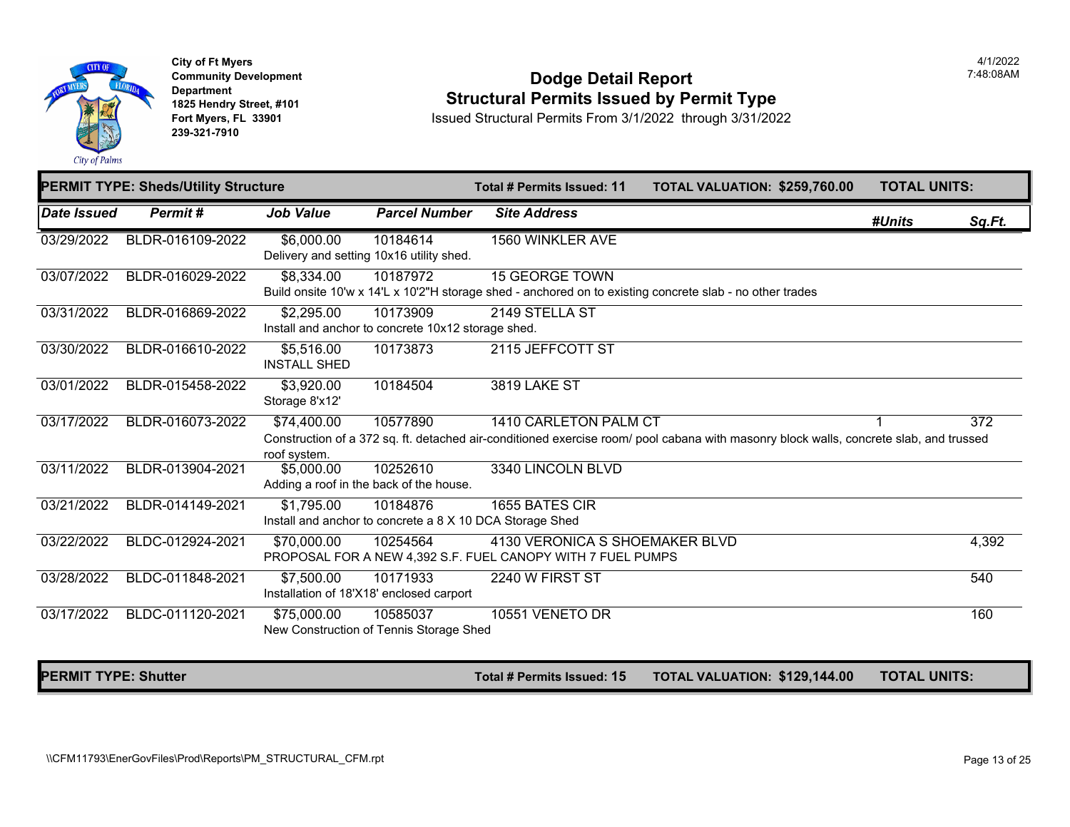

**City of Ft Myers Community Development Department 1825 Hendry Street, #101 Fort Myers, FL 33901 239-321-7910** 

#### **Dodge Detail Report Structural Permits Issued by Permit Type**

Issued Structural Permits From 3/1/2022 through 3/31/2022

|                    | <b>PERMIT TYPE: Sheds/Utility Structure</b> |                                   |                                                                      | Total # Permits Issued: 11                                                                    | TOTAL VALUATION: \$259,760.00                                                                                                          | <b>TOTAL UNITS:</b> |        |
|--------------------|---------------------------------------------|-----------------------------------|----------------------------------------------------------------------|-----------------------------------------------------------------------------------------------|----------------------------------------------------------------------------------------------------------------------------------------|---------------------|--------|
| <b>Date Issued</b> | Permit#                                     | <b>Job Value</b>                  | <b>Parcel Number</b>                                                 | <b>Site Address</b>                                                                           |                                                                                                                                        | #Units              | Sq.Ft. |
| 03/29/2022         | BLDR-016109-2022                            | \$6,000.00                        | 10184614<br>Delivery and setting 10x16 utility shed.                 | <b>1560 WINKLER AVE</b>                                                                       |                                                                                                                                        |                     |        |
| 03/07/2022         | BLDR-016029-2022                            | \$8,334.00                        | 10187972                                                             | <b>15 GEORGE TOWN</b>                                                                         | Build onsite 10'w x 14'L x 10'2"H storage shed - anchored on to existing concrete slab - no other trades                               |                     |        |
| 03/31/2022         | BLDR-016869-2022                            | \$2,295.00                        | 10173909<br>Install and anchor to concrete 10x12 storage shed.       | 2149 STELLA ST                                                                                |                                                                                                                                        |                     |        |
| 03/30/2022         | BLDR-016610-2022                            | \$5,516.00<br><b>INSTALL SHED</b> | 10173873                                                             | 2115 JEFFCOTT ST                                                                              |                                                                                                                                        |                     |        |
| 03/01/2022         | BLDR-015458-2022                            | \$3,920.00<br>Storage 8'x12'      | 10184504                                                             | <b>3819 LAKE ST</b>                                                                           |                                                                                                                                        |                     |        |
| 03/17/2022         | BLDR-016073-2022                            | \$74,400.00<br>roof system.       | 10577890                                                             | 1410 CARLETON PALM CT                                                                         | Construction of a 372 sq. ft. detached air-conditioned exercise room/ pool cabana with masonry block walls, concrete slab, and trussed |                     | 372    |
| 03/11/2022         | BLDR-013904-2021                            | \$5,000.00                        | 10252610<br>Adding a roof in the back of the house.                  | 3340 LINCOLN BLVD                                                                             |                                                                                                                                        |                     |        |
| 03/21/2022         | BLDR-014149-2021                            | \$1,795.00                        | 10184876<br>Install and anchor to concrete a 8 X 10 DCA Storage Shed | 1655 BATES CIR                                                                                |                                                                                                                                        |                     |        |
| 03/22/2022         | BLDC-012924-2021                            | \$70,000.00                       | 10254564                                                             | 4130 VERONICA S SHOEMAKER BLVD<br>PROPOSAL FOR A NEW 4,392 S.F. FUEL CANOPY WITH 7 FUEL PUMPS |                                                                                                                                        |                     | 4,392  |
| 03/28/2022         | BLDC-011848-2021                            | \$7,500.00                        | 10171933<br>Installation of 18'X18' enclosed carport                 | 2240 W FIRST ST                                                                               |                                                                                                                                        |                     | 540    |
| 03/17/2022         | BLDC-011120-2021                            | \$75,000.00                       | 10585037<br>New Construction of Tennis Storage Shed                  | 10551 VENETO DR                                                                               |                                                                                                                                        |                     | 160    |

PERMIT TYPE: Shutter **The Community of the Community of the Community Total # Permits Issued: 15 TOTAL VALUATION: \$129,144.00 TOTAL UNITS:**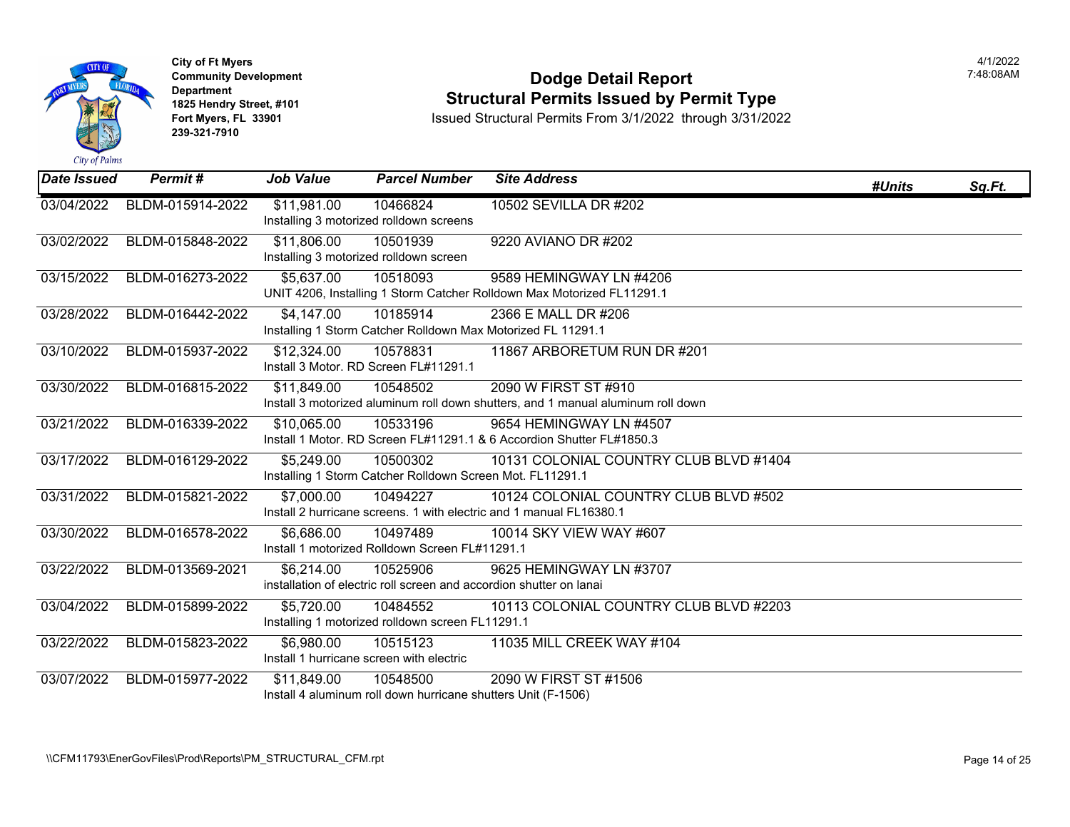

### **Community Development Dodge Detail Report** 7:48:08AM **1825 Hendry Street, #101**<br>1825 Hendry Street, #101 **Structural Permits Issued by Permit Type**<br>1891 Issued Structural Permits From 3/1/2022 through 3/31/202

| <b>Date Issued</b> | Permit#          | <b>Job Value</b>                                       | <b>Parcel Number</b>                                                      | <b>Site Address</b>                                                                                          | #Units | Sq.Ft. |
|--------------------|------------------|--------------------------------------------------------|---------------------------------------------------------------------------|--------------------------------------------------------------------------------------------------------------|--------|--------|
| 03/04/2022         | BLDM-015914-2022 | \$11,981.00                                            | 10466824<br>Installing 3 motorized rolldown screens                       | 10502 SEVILLA DR #202                                                                                        |        |        |
| 03/02/2022         | BLDM-015848-2022 | \$11,806.00<br>Installing 3 motorized rolldown screen  | 10501939                                                                  | 9220 AVIANO DR #202                                                                                          |        |        |
| 03/15/2022         | BLDM-016273-2022 | \$5,637.00                                             | 10518093                                                                  | 9589 HEMINGWAY LN #4206<br>UNIT 4206, Installing 1 Storm Catcher Rolldown Max Motorized FL11291.1            |        |        |
| 03/28/2022         | BLDM-016442-2022 | \$4,147.00                                             | 10185914                                                                  | 2366 E MALL DR #206<br>Installing 1 Storm Catcher Rolldown Max Motorized FL 11291.1                          |        |        |
| 03/10/2022         | BLDM-015937-2022 | \$12,324.00                                            | 10578831<br>Install 3 Motor, RD Screen FL#11291.1                         | 11867 ARBORETUM RUN DR #201                                                                                  |        |        |
| 03/30/2022         | BLDM-016815-2022 | \$11,849.00                                            | 10548502                                                                  | 2090 W FIRST ST #910<br>Install 3 motorized aluminum roll down shutters, and 1 manual aluminum roll down     |        |        |
| 03/21/2022         | BLDM-016339-2022 | \$10,065.00                                            | 10533196                                                                  | 9654 HEMINGWAY LN #4507<br>Install 1 Motor. RD Screen FL#11291.1 & 6 Accordion Shutter FL#1850.3             |        |        |
| 03/17/2022         | BLDM-016129-2022 | \$5,249.00                                             | 10500302<br>Installing 1 Storm Catcher Rolldown Screen Mot. FL11291.1     | 10131 COLONIAL COUNTRY CLUB BLVD #1404                                                                       |        |        |
| 03/31/2022         | BLDM-015821-2022 | \$7,000.00                                             | 10494227                                                                  | 10124 COLONIAL COUNTRY CLUB BLVD #502<br>Install 2 hurricane screens. 1 with electric and 1 manual FL16380.1 |        |        |
| 03/30/2022         | BLDM-016578-2022 | \$6,686.00                                             | 10497489<br>Install 1 motorized Rolldown Screen FL#11291.1                | 10014 SKY VIEW WAY #607                                                                                      |        |        |
| 03/22/2022         | BLDM-013569-2021 | \$6,214.00                                             | 10525906                                                                  | 9625 HEMINGWAY LN #3707<br>installation of electric roll screen and accordion shutter on lanai               |        |        |
| 03/04/2022         | BLDM-015899-2022 | \$5,720.00                                             | 10484552<br>Installing 1 motorized rolldown screen FL11291.1              | 10113 COLONIAL COUNTRY CLUB BLVD #2203                                                                       |        |        |
| 03/22/2022         | BLDM-015823-2022 | \$6,980.00<br>Install 1 hurricane screen with electric | 10515123                                                                  | 11035 MILL CREEK WAY #104                                                                                    |        |        |
| 03/07/2022         | BLDM-015977-2022 | \$11,849.00                                            | 10548500<br>Install 4 aluminum roll down hurricane shutters Unit (F-1506) | 2090 W FIRST ST #1506                                                                                        |        |        |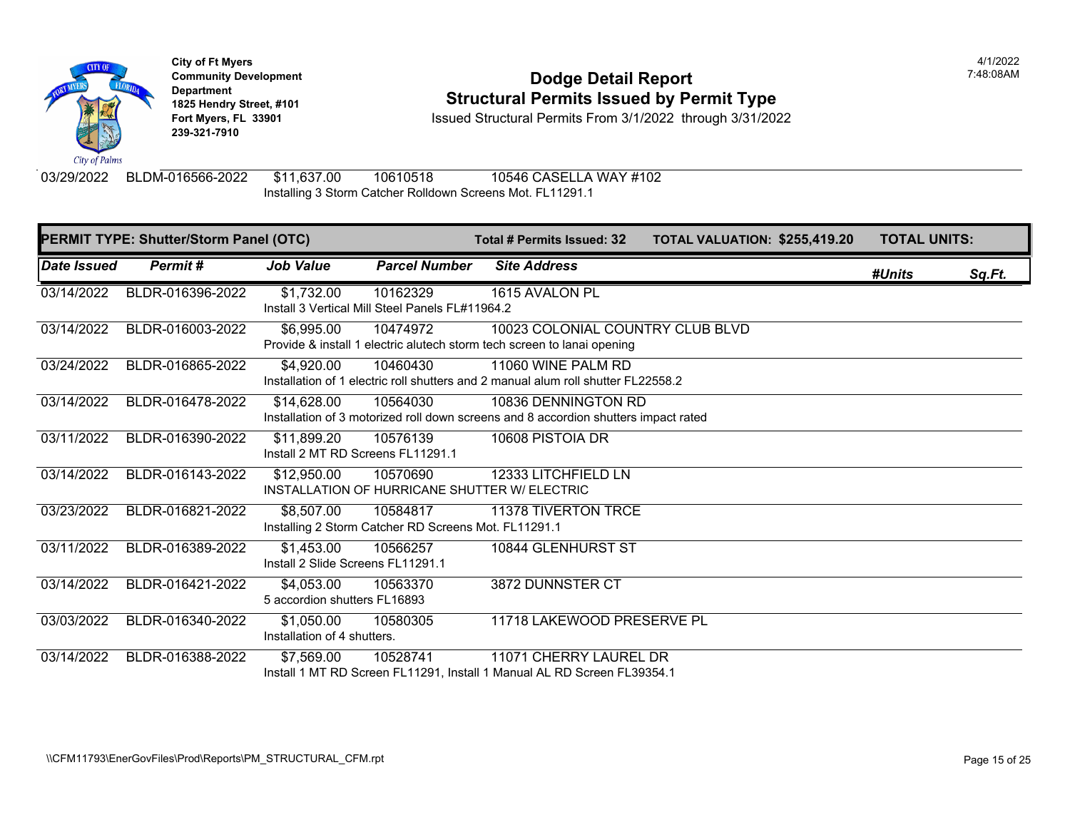

### **Community Development Community Development Community Development 1825 Hendry Street, #101 1825 Hendry Street, #101 1825 Hendry Street, #101 Structural Permits Issued by Permit Type**<br>**1825 Fort Myers, FL 33901 18901 1889 Issued Structural Permits From 3/1/2022** through 3/31/20

**Fort Myers, FL 33901** Issued Structural Permits From 3/1/2022 through 3/31/2022

03/29/2022 BLDM-016566-2022 \$11,637.00 10610518 10546 CASELLA WAY #102 Installing 3 Storm Catcher Rolldown Screens Mot. FL11291.1

|             | PERMIT TYPE: Shutter/Storm Panel (OTC) |                                                  |                                                                  | <b>Total # Permits Issued: 32</b>                                                                           | <b>TOTAL VALUATION: \$255,41</b> |  |
|-------------|----------------------------------------|--------------------------------------------------|------------------------------------------------------------------|-------------------------------------------------------------------------------------------------------------|----------------------------------|--|
| Date Issued | Permit#                                | <b>Job Value</b>                                 | <b>Parcel Number</b>                                             | <b>Site Address</b>                                                                                         |                                  |  |
| 03/14/2022  | BLDR-016396-2022                       | \$1,732.00                                       | 10162329<br>Install 3 Vertical Mill Steel Panels FL#11964.2      | 1615 AVALON PL                                                                                              |                                  |  |
| 03/14/2022  | BLDR-016003-2022                       | \$6,995.00                                       | 10474972                                                         | 10023 COLONIAL COUNTRY CLUB BLVD<br>Provide & install 1 electric alutech storm tech screen to lanai opening |                                  |  |
| 03/24/2022  | BLDR-016865-2022                       | \$4,920.00                                       | 10460430                                                         | 11060 WINE PALM RD<br>Installation of 1 electric roll shutters and 2 manual alum roll shutter FL22558.2     |                                  |  |
| 03/14/2022  | BLDR-016478-2022                       | \$14,628.00                                      | 10564030                                                         | 10836 DENNINGTON RD<br>Installation of 3 motorized roll down screens and 8 accordion shutters impact rated  |                                  |  |
| 03/11/2022  | BLDR-016390-2022                       | \$11,899.20<br>Install 2 MT RD Screens FL11291.1 | 10576139                                                         | 10608 PISTOIA DR                                                                                            |                                  |  |
| 03/14/2022  | BLDR-016143-2022                       | \$12,950.00                                      | 10570690                                                         | 12333 LITCHFIELD LN<br>INSTALLATION OF HURRICANE SHUTTER W/ ELECTRIC                                        |                                  |  |
| 03/23/2022  | BLDR-016821-2022                       | \$8,507.00                                       | 10584817<br>Installing 2 Storm Catcher RD Screens Mot. FL11291.1 | <b>11378 TIVERTON TRCE</b>                                                                                  |                                  |  |
| 03/11/2022  | BLDR-016389-2022                       | \$1,453.00<br>Install 2 Slide Screens FL11291.1  | 10566257                                                         | 10844 GLENHURST ST                                                                                          |                                  |  |
| 03/14/2022  | BLDR-016421-2022                       | \$4,053.00<br>5 accordion shutters FL16893       | 10563370                                                         | 3872 DUNNSTER CT                                                                                            |                                  |  |
| 03/03/2022  | BLDR-016340-2022                       | \$1,050.00<br>Installation of 4 shutters.        | 10580305                                                         | 11718 LAKEWOOD PRESERVE PL                                                                                  |                                  |  |
| 03/14/2022  | BLDR-016388-2022                       | \$7,569.00                                       | 10528741                                                         | 11071 CHERRY LAUREL DR<br>Install 1 MT RD Screen FL11291, Install 1 Manual AL RD Screen FL39354.1           |                                  |  |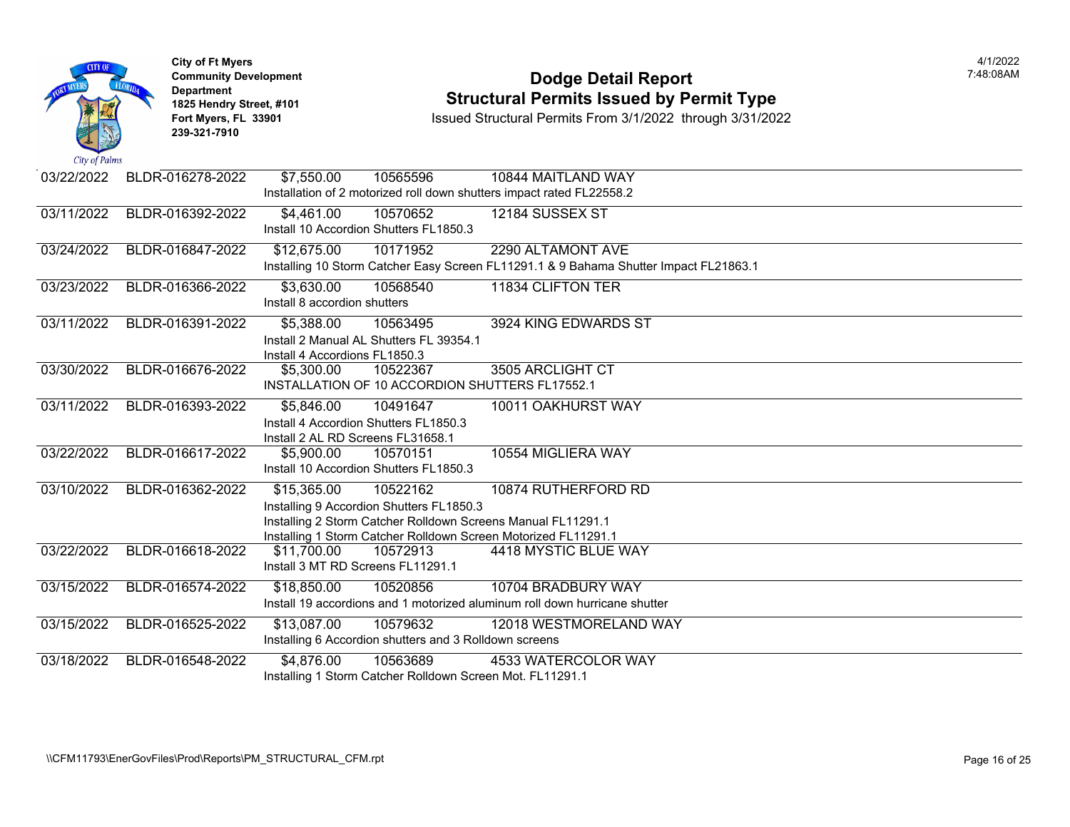| City of Palms | <b>City of Ft Myers</b><br><b>Community Development</b><br><b>Department</b><br>1825 Hendry Street, #101<br>Fort Myers, FL 33901<br>239-321-7910 | <b>Dodge Detail Report</b><br><b>Structural Permits Issued by Permit Type</b><br>Issued Structural Permits From 3/1/2022 through 3/31/2022 |
|---------------|--------------------------------------------------------------------------------------------------------------------------------------------------|--------------------------------------------------------------------------------------------------------------------------------------------|
| 03/22/2022    | BLDR-016278-2022                                                                                                                                 | 10565596<br>10844 MAITLAND WAY<br>\$7,550.00                                                                                               |
|               |                                                                                                                                                  | Installation of 2 motorized roll down shutters impact rated FL22558.2                                                                      |
| 03/11/2022    | BLDR-016392-2022                                                                                                                                 | \$4,461.00<br>12184 SUSSEX ST<br>10570652<br>Install 10 Accordion Shutters FL1850.3                                                        |
| 03/24/2022    | BLDR-016847-2022                                                                                                                                 | 10171952<br>2290 ALTAMONT AVE<br>\$12,675.00                                                                                               |
|               |                                                                                                                                                  | Installing 10 Storm Catcher Easy Screen FL11291.1 & 9 Bahama Shutter Impact FL21863.1                                                      |
| 03/23/2022    | BLDR-016366-2022                                                                                                                                 | 10568540<br>11834 CLIFTON TER<br>\$3,630.00                                                                                                |
|               |                                                                                                                                                  | Install 8 accordion shutters                                                                                                               |
| 03/11/2022    | BLDR-016391-2022                                                                                                                                 | \$5,388.00<br>10563495<br>3924 KING EDWARDS ST                                                                                             |
|               |                                                                                                                                                  | Install 2 Manual AL Shutters FL 39354.1                                                                                                    |
|               |                                                                                                                                                  | Install 4 Accordions FL1850.3                                                                                                              |
| 03/30/2022    | BLDR-016676-2022                                                                                                                                 | 3505 ARCLIGHT CT<br>\$5,300.00<br>10522367                                                                                                 |
|               |                                                                                                                                                  | INSTALLATION OF 10 ACCORDION SHUTTERS FL17552.1                                                                                            |
| 03/11/2022    | BLDR-016393-2022                                                                                                                                 | \$5,846.00<br>10491647<br>10011 OAKHURST WAY                                                                                               |
|               |                                                                                                                                                  | Install 4 Accordion Shutters FL1850.3                                                                                                      |
|               |                                                                                                                                                  | Install 2 AL RD Screens FL31658.1                                                                                                          |
| 03/22/2022    | BLDR-016617-2022                                                                                                                                 | 10554 MIGLIERA WAY<br>10570151<br>\$5,900.00<br>Install 10 Accordion Shutters FL1850.3                                                     |
|               |                                                                                                                                                  |                                                                                                                                            |
| 03/10/2022    | BLDR-016362-2022                                                                                                                                 | \$15,365.00<br>10522162<br>10874 RUTHERFORD RD                                                                                             |
|               |                                                                                                                                                  | Installing 9 Accordion Shutters FL1850.3<br>Installing 2 Storm Catcher Rolldown Screens Manual FL11291.1                                   |
|               |                                                                                                                                                  | Installing 1 Storm Catcher Rolldown Screen Motorized FL11291.1                                                                             |
| 03/22/2022    | BLDR-016618-2022                                                                                                                                 | \$11,700.00<br>4418 MYSTIC BLUE WAY<br>10572913                                                                                            |
|               |                                                                                                                                                  | Install 3 MT RD Screens FL11291.1                                                                                                          |
| 03/15/2022    | BLDR-016574-2022                                                                                                                                 | \$18,850.00<br>10520856<br>10704 BRADBURY WAY                                                                                              |
|               |                                                                                                                                                  | Install 19 accordions and 1 motorized aluminum roll down hurricane shutter                                                                 |
| 03/15/2022    | BLDR-016525-2022                                                                                                                                 | \$13,087.00<br>10579632<br>12018 WESTMORELAND WAY                                                                                          |
|               |                                                                                                                                                  | Installing 6 Accordion shutters and 3 Rolldown screens                                                                                     |
| 03/18/2022    | BLDR-016548-2022                                                                                                                                 | 10563689<br>\$4,876.00<br>4533 WATERCOLOR WAY                                                                                              |
|               |                                                                                                                                                  | Installing 1 Storm Catcher Rolldown Screen Mot. FL11291.1                                                                                  |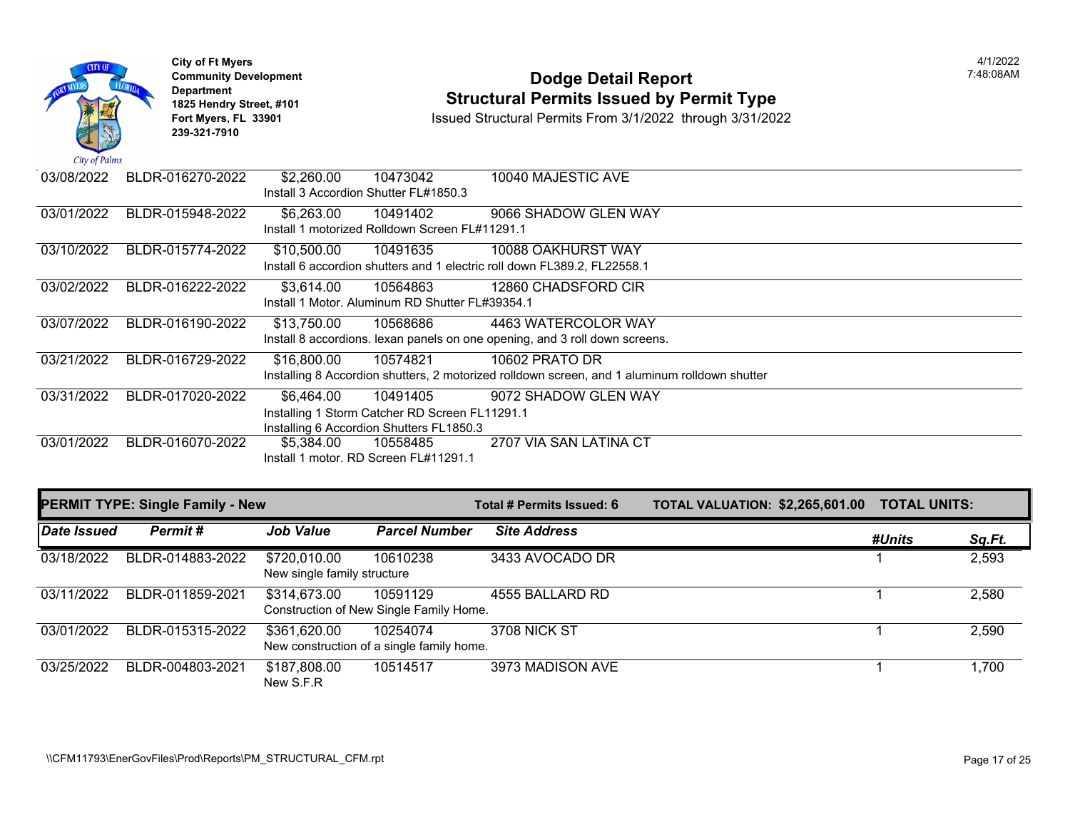

### **Community Development Dodge Detail Report** 7:48:08AM **1825 Hendry Street, #101**<br>1825 Hendry Street, #101 **Structural Permits Issued by Permit Type**<br>1891 Issued Structural Permits From 3/1/2022 through 3/31/202

| 03/08/2022 | BLDR-016270-2022 | \$2,260.00  | 10473042                                        | 10040 MAJESTIC AVE                                                                            |
|------------|------------------|-------------|-------------------------------------------------|-----------------------------------------------------------------------------------------------|
|            |                  |             | Install 3 Accordion Shutter FL#1850.3           |                                                                                               |
| 03/01/2022 | BLDR-015948-2022 | \$6,263.00  | 10491402                                        | 9066 SHADOW GLEN WAY                                                                          |
|            |                  |             | Install 1 motorized Rolldown Screen FL#11291.1  |                                                                                               |
| 03/10/2022 | BLDR-015774-2022 | \$10,500.00 | 10491635                                        | 10088 OAKHURST WAY                                                                            |
|            |                  |             |                                                 | Install 6 accordion shutters and 1 electric roll down FL389.2. FL22558.1                      |
| 03/02/2022 | BLDR-016222-2022 | \$3,614.00  | 10564863                                        | 12860 CHADSFORD CIR                                                                           |
|            |                  |             | Install 1 Motor, Aluminum RD Shutter FL#39354.1 |                                                                                               |
| 03/07/2022 | BLDR-016190-2022 | \$13,750.00 | 10568686                                        | 4463 WATERCOLOR WAY                                                                           |
|            |                  |             |                                                 | Install 8 accordions. lexan panels on one opening, and 3 roll down screens.                   |
| 03/21/2022 | BLDR-016729-2022 | \$16,800.00 | 10574821                                        | 10602 PRATO DR                                                                                |
|            |                  |             |                                                 | Installing 8 Accordion shutters, 2 motorized rolldown screen, and 1 aluminum rolldown shutter |
| 03/31/2022 | BLDR-017020-2022 | \$6.464.00  | 10491405                                        | 9072 SHADOW GLEN WAY                                                                          |
|            |                  |             | Installing 1 Storm Catcher RD Screen FL11291.1  |                                                                                               |
|            |                  |             | Installing 6 Accordion Shutters FL1850.3        |                                                                                               |
| 03/01/2022 | BLDR-016070-2022 | \$5,384.00  | 10558485                                        | 2707 VIA SAN LATINA CT                                                                        |
|            |                  |             | Install 1 motor, RD Screen FL#11291.1           |                                                                                               |

|             | <b>PERMIT TYPE: Single Family - New</b> |                                             |                                                       | Total # Permits Issued: 6 | <b>TOTAL VALUATION: \$2,265,601.00</b> | <b>TOTAL UNITS:</b> |        |
|-------------|-----------------------------------------|---------------------------------------------|-------------------------------------------------------|---------------------------|----------------------------------------|---------------------|--------|
| Date Issued | Permit#                                 | <b>Job Value</b>                            | <b>Parcel Number</b>                                  | <b>Site Address</b>       |                                        | #Units              | Sq.Ft. |
| 03/18/2022  | BLDR-014883-2022                        | \$720,010.00<br>New single family structure | 10610238                                              | 3433 AVOCADO DR           |                                        |                     | 2,593  |
| 03/11/2022  | BLDR-011859-2021                        | \$314,673.00                                | 10591129<br>Construction of New Single Family Home.   | 4555 BALLARD RD           |                                        |                     | 2,580  |
| 03/01/2022  | BLDR-015315-2022                        | \$361,620.00                                | 10254074<br>New construction of a single family home. | <b>3708 NICK ST</b>       |                                        |                     | 2,590  |
| 03/25/2022  | BLDR-004803-2021                        | \$187,808.00<br>New S.F.R                   | 10514517                                              | 3973 MADISON AVE          |                                        |                     | 1,700  |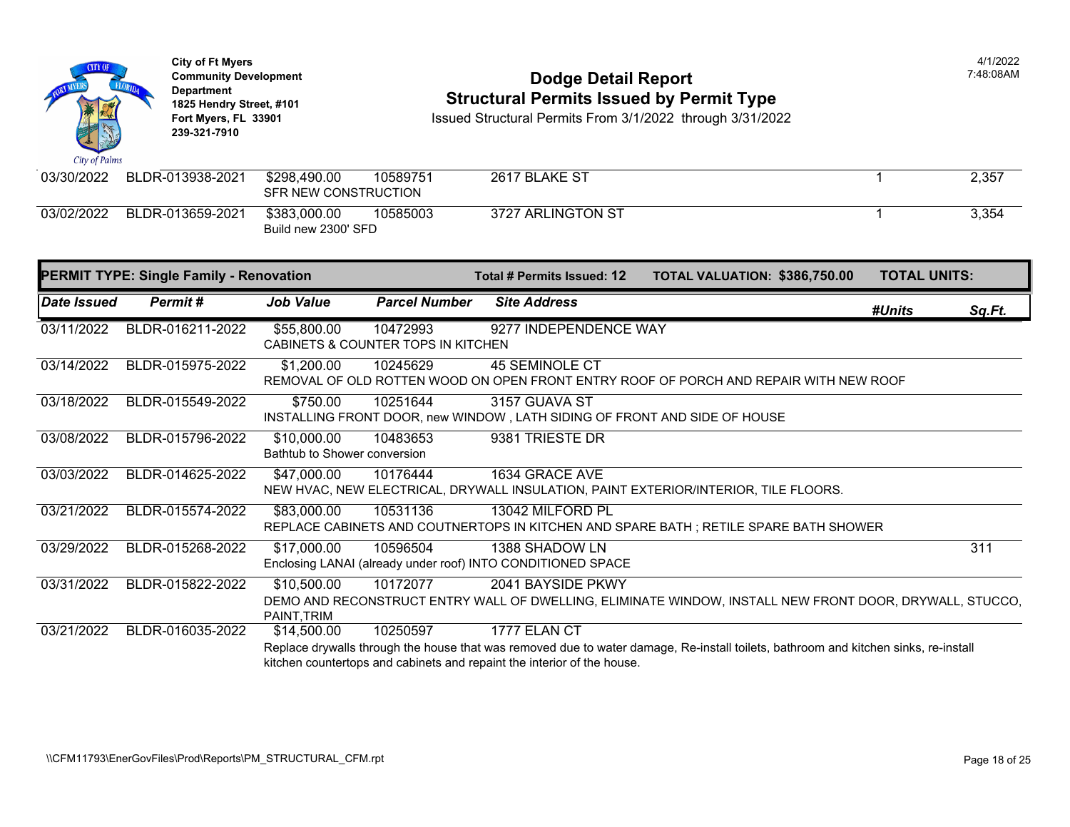| <b>CITY OF</b><br>City of Palms | <b>City of Ft Myers</b><br><b>Community Development</b><br><b>Department</b><br>1825 Hendry Street, #101<br>Fort Myers, FL 33901<br>239-321-7910 |                                             |                                                | <b>Dodge Detail Report</b><br><b>Structural Permits Issued by Permit Type</b><br>Issued Structural Permits From 3/1/2022 through 3/31/2022 |                                                                                                                                     |                     | 4/1/2022<br>7:48:08AM |
|---------------------------------|--------------------------------------------------------------------------------------------------------------------------------------------------|---------------------------------------------|------------------------------------------------|--------------------------------------------------------------------------------------------------------------------------------------------|-------------------------------------------------------------------------------------------------------------------------------------|---------------------|-----------------------|
| 03/30/2022                      | BLDR-013938-2021                                                                                                                                 | \$298,490.00<br>SFR NEW CONSTRUCTION        | 10589751                                       | 2617 BLAKE ST                                                                                                                              |                                                                                                                                     | -1                  | 2,357                 |
| 03/02/2022                      | BLDR-013659-2021                                                                                                                                 | \$383,000.00<br>Build new 2300' SFD         | 10585003                                       | 3727 ARLINGTON ST                                                                                                                          |                                                                                                                                     |                     | 3,354                 |
|                                 | <b>PERMIT TYPE: Single Family - Renovation</b>                                                                                                   |                                             |                                                | Total # Permits Issued: 12                                                                                                                 | TOTAL VALUATION: \$386,750.00                                                                                                       | <b>TOTAL UNITS:</b> |                       |
| Date Issued                     | <b>Permit#</b>                                                                                                                                   | <b>Job Value</b>                            | <b>Parcel Number</b>                           | <b>Site Address</b>                                                                                                                        |                                                                                                                                     | #Units              | Sq.Ft.                |
| 03/11/2022                      | BLDR-016211-2022                                                                                                                                 | \$55,800.00                                 | 10472993<br>CABINETS & COUNTER TOPS IN KITCHEN | 9277 INDEPENDENCE WAY                                                                                                                      |                                                                                                                                     |                     |                       |
| 03/14/2022                      | BLDR-015975-2022                                                                                                                                 | \$1,200.00                                  | 10245629                                       | <b>45 SEMINOLE CT</b>                                                                                                                      | REMOVAL OF OLD ROTTEN WOOD ON OPEN FRONT ENTRY ROOF OF PORCH AND REPAIR WITH NEW ROOF                                               |                     |                       |
| 03/18/2022                      | BLDR-015549-2022                                                                                                                                 | \$750.00                                    | 10251644                                       | 3157 GUAVA ST<br>INSTALLING FRONT DOOR, new WINDOW, LATH SIDING OF FRONT AND SIDE OF HOUSE                                                 |                                                                                                                                     |                     |                       |
| 03/08/2022                      | BLDR-015796-2022                                                                                                                                 | \$10,000.00<br>Bathtub to Shower conversion | 10483653                                       | 9381 TRIESTE DR                                                                                                                            |                                                                                                                                     |                     |                       |
| 03/03/2022                      | BLDR-014625-2022                                                                                                                                 | \$47,000.00                                 | 10176444                                       | 1634 GRACE AVE                                                                                                                             | NEW HVAC, NEW ELECTRICAL, DRYWALL INSULATION, PAINT EXTERIOR/INTERIOR, TILE FLOORS.                                                 |                     |                       |
| 03/21/2022                      | BLDR-015574-2022                                                                                                                                 | \$83,000.00                                 | 10531136                                       | 13042 MILFORD PL                                                                                                                           | REPLACE CABINETS AND COUTNERTOPS IN KITCHEN AND SPARE BATH ; RETILE SPARE BATH SHOWER                                               |                     |                       |
| 03/29/2022                      | BLDR-015268-2022                                                                                                                                 | \$17,000.00                                 | 10596504                                       | 1388 SHADOW LN<br>Enclosing LANAI (already under roof) INTO CONDITIONED SPACE                                                              |                                                                                                                                     |                     | 311                   |
| 03/31/2022                      | BLDR-015822-2022                                                                                                                                 | \$10,500.00<br>PAINT, TRIM                  | 10172077                                       | 2041 BAYSIDE PKWY                                                                                                                          | DEMO AND RECONSTRUCT ENTRY WALL OF DWELLING, ELIMINATE WINDOW, INSTALL NEW FRONT DOOR, DRYWALL, STUCCO,                             |                     |                       |
| 03/21/2022                      | BLDR-016035-2022                                                                                                                                 | \$14,500.00                                 | 10250597                                       | 1777 ELAN CT<br>kitchen countertops and cabinets and repaint the interior of the house.                                                    | Replace drywalls through the house that was removed due to water damage, Re-install toilets, bathroom and kitchen sinks, re-install |                     |                       |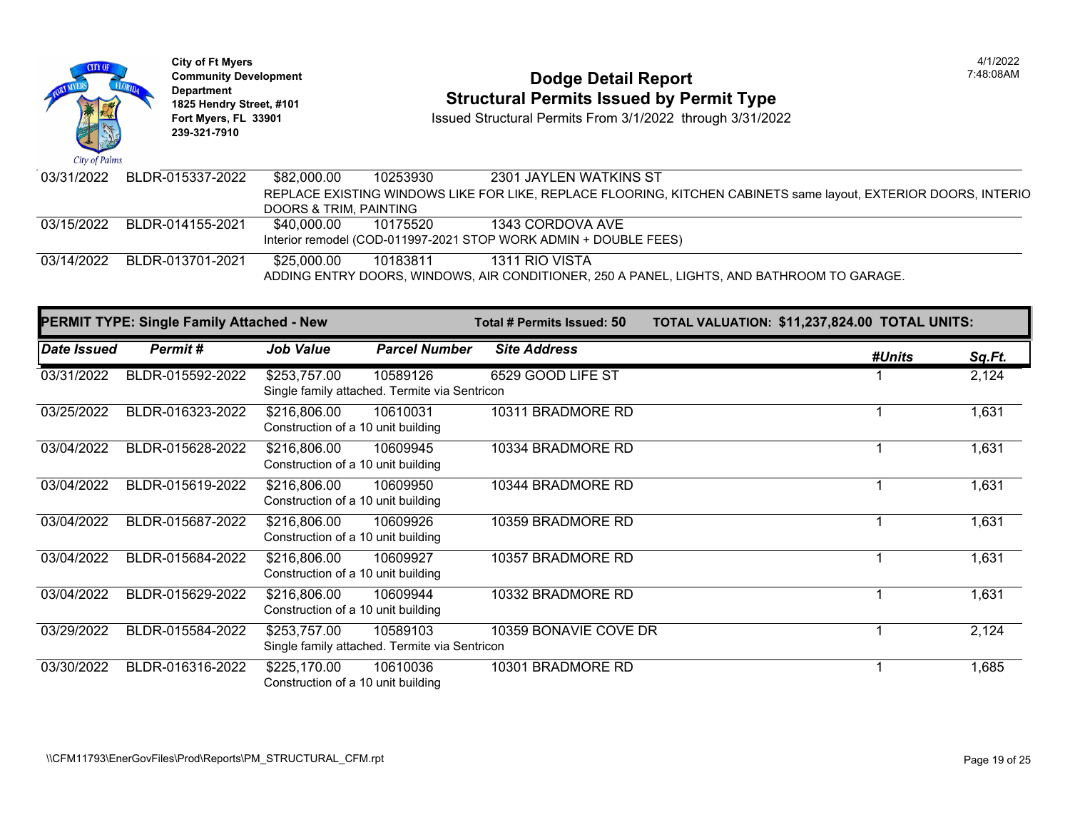

## **Community Development Dodge Detail Report** 7:48:08AM **1825 Hendry Street, #101**<br>1825 Hendry Street, #101 **Structural Permits Issued by Permit Type**<br>1891 Issued Structural Permits From 3/1/2022 through 3/31/202

| 03/31/2022 BLDR-015337-2022 | \$82,000.00            | 10253930 | 2301 JAYLEN WATKINS ST                                                                                          |
|-----------------------------|------------------------|----------|-----------------------------------------------------------------------------------------------------------------|
|                             |                        |          | REPLACE EXISTING WINDOWS LIKE FOR LIKE, REPLACE FLOORING, KITCHEN CABINETS same layout, EXTERIOR DOORS, INTERIO |
|                             | DOORS & TRIM, PAINTING |          |                                                                                                                 |
| 03/15/2022 BLDR-014155-2021 | \$40.000.00            | 10175520 | 1343 CORDOVA AVE                                                                                                |
|                             |                        |          | Interior remodel (COD-011997-2021 STOP WORK ADMIN + DOUBLE FEES)                                                |
| 03/14/2022 BLDR-013701-2021 | \$25.000.00            | 10183811 | 1311 RIO VISTA                                                                                                  |
|                             |                        |          | ADDING ENTRY DOORS, WINDOWS, AIR CONDITIONER, 250 A PANEL, LIGHTS, AND BATHROOM TO GARAGE.                      |

|             | <b>PERMIT TYPE: Single Family Attached - New</b> |                                                    |                                                           | Total # Permits Issued: 50 | TOTAL VALUATION: \$11,237,824.00 TOTAL UNITS: |        |               |
|-------------|--------------------------------------------------|----------------------------------------------------|-----------------------------------------------------------|----------------------------|-----------------------------------------------|--------|---------------|
| Date Issued | Permit#                                          | <b>Job Value</b>                                   | <b>Parcel Number</b>                                      | <b>Site Address</b>        |                                               | #Units | <u>Sq.Ft.</u> |
| 03/31/2022  | BLDR-015592-2022                                 | \$253,757.00                                       | 10589126<br>Single family attached. Termite via Sentricon | 6529 GOOD LIFE ST          |                                               |        | 2,124         |
| 03/25/2022  | BLDR-016323-2022                                 | \$216,806.00<br>Construction of a 10 unit building | 10610031                                                  | 10311 BRADMORE RD          |                                               |        | 1,631         |
| 03/04/2022  | BLDR-015628-2022                                 | \$216,806.00<br>Construction of a 10 unit building | 10609945                                                  | 10334 BRADMORE RD          |                                               |        | 1,631         |
| 03/04/2022  | BLDR-015619-2022                                 | \$216,806.00<br>Construction of a 10 unit building | 10609950                                                  | 10344 BRADMORE RD          |                                               |        | 1,631         |
| 03/04/2022  | BLDR-015687-2022                                 | \$216,806.00<br>Construction of a 10 unit building | 10609926                                                  | 10359 BRADMORE RD          |                                               |        | 1,631         |
| 03/04/2022  | BLDR-015684-2022                                 | \$216,806.00<br>Construction of a 10 unit building | 10609927                                                  | 10357 BRADMORE RD          |                                               |        | 1,631         |
| 03/04/2022  | BLDR-015629-2022                                 | \$216,806.00<br>Construction of a 10 unit building | 10609944                                                  | 10332 BRADMORE RD          |                                               |        | 1,631         |
| 03/29/2022  | BLDR-015584-2022                                 | \$253,757.00                                       | 10589103<br>Single family attached. Termite via Sentricon | 10359 BONAVIE COVE DR      |                                               |        | 2,124         |
| 03/30/2022  | BLDR-016316-2022                                 | \$225,170.00<br>Construction of a 10 unit building | 10610036                                                  | 10301 BRADMORE RD          |                                               |        | 1,685         |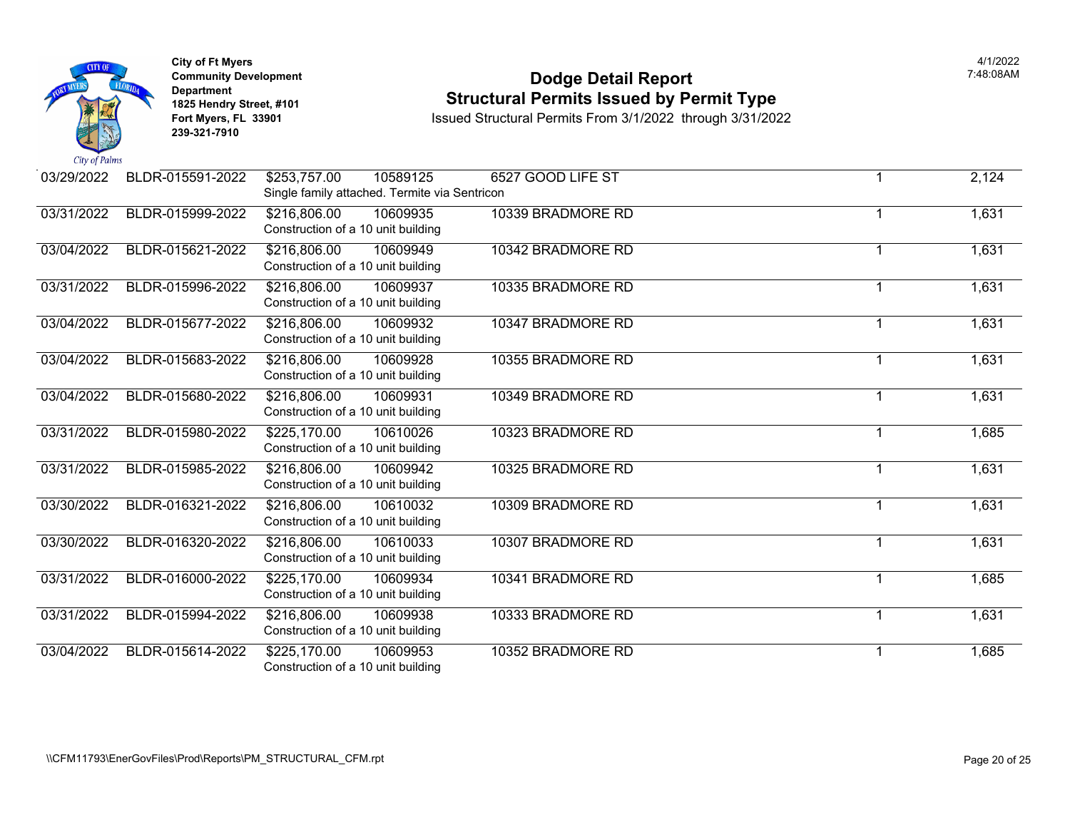

### **Community Development Dodge Detail Report** 7:48:08AM **1825 Hendry Street, #101**<br>1825 Hendry Street, #101 **Structural Permits Issued by Permit Type**<br>1891 Issued Structural Permits From 3/1/2022 through 3/31/202

| 03/29/2022 | BLDR-015591-2022 | \$253,757.00<br>10589125<br>Single family attached. Termite via Sentricon | 6527 GOOD LIFE ST |   | 2,124 |
|------------|------------------|---------------------------------------------------------------------------|-------------------|---|-------|
| 03/31/2022 | BLDR-015999-2022 | \$216,806.00<br>10609935<br>Construction of a 10 unit building            | 10339 BRADMORE RD |   | 1,631 |
| 03/04/2022 | BLDR-015621-2022 | \$216,806.00<br>10609949<br>Construction of a 10 unit building            | 10342 BRADMORE RD | 1 | 1,631 |
| 03/31/2022 | BLDR-015996-2022 | \$216,806.00<br>10609937<br>Construction of a 10 unit building            | 10335 BRADMORE RD | 1 | 1,631 |
| 03/04/2022 | BLDR-015677-2022 | \$216,806.00<br>10609932<br>Construction of a 10 unit building            | 10347 BRADMORE RD | 1 | 1,631 |
| 03/04/2022 | BLDR-015683-2022 | \$216,806.00<br>10609928<br>Construction of a 10 unit building            | 10355 BRADMORE RD | 1 | 1,631 |
| 03/04/2022 | BLDR-015680-2022 | \$216,806.00<br>10609931<br>Construction of a 10 unit building            | 10349 BRADMORE RD | 1 | 1,631 |
| 03/31/2022 | BLDR-015980-2022 | \$225,170.00<br>10610026<br>Construction of a 10 unit building            | 10323 BRADMORE RD | 1 | 1,685 |
| 03/31/2022 | BLDR-015985-2022 | \$216,806.00<br>10609942<br>Construction of a 10 unit building            | 10325 BRADMORE RD | 1 | 1,631 |
| 03/30/2022 | BLDR-016321-2022 | 10610032<br>\$216,806.00<br>Construction of a 10 unit building            | 10309 BRADMORE RD | 1 | 1,631 |
| 03/30/2022 | BLDR-016320-2022 | \$216,806.00<br>10610033<br>Construction of a 10 unit building            | 10307 BRADMORE RD | 1 | 1,631 |
| 03/31/2022 | BLDR-016000-2022 | \$225,170.00<br>10609934<br>Construction of a 10 unit building            | 10341 BRADMORE RD | 1 | 1,685 |
| 03/31/2022 | BLDR-015994-2022 | \$216,806.00<br>10609938<br>Construction of a 10 unit building            | 10333 BRADMORE RD | 1 | 1,631 |
| 03/04/2022 | BLDR-015614-2022 | \$225,170.00<br>10609953<br>Construction of a 10 unit building            | 10352 BRADMORE RD | 1 | 1,685 |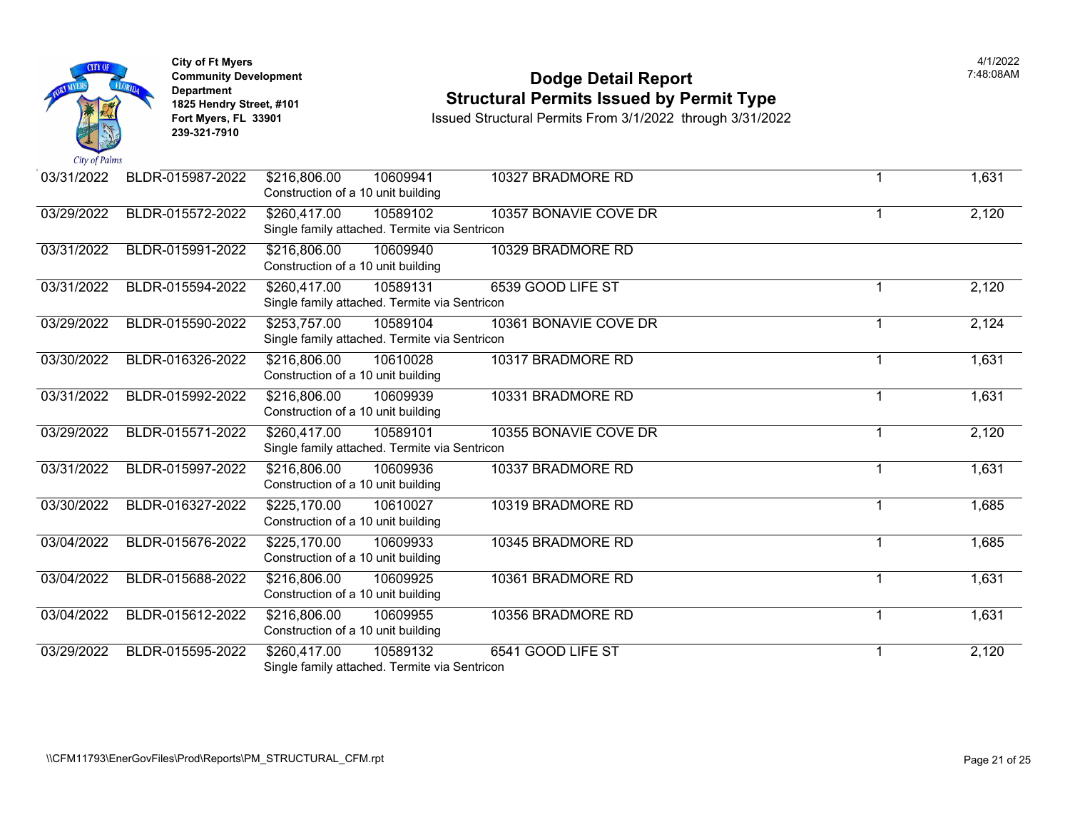

### **Community Development Dodge Detail Report** 7:48:08AM **1825 Hendry Street, #101**<br>1825 Hendry Street, #101 **Structural Permits Issued by Permit Type**<br>1891 Issued Structural Permits From 3/1/2022 through 3/31/202

| 03/31/2022 | BLDR-015987-2022 | \$216,806.00<br>10609941<br>Construction of a 10 unit building            | 10327 BRADMORE RD     |                | 1,631 |
|------------|------------------|---------------------------------------------------------------------------|-----------------------|----------------|-------|
| 03/29/2022 | BLDR-015572-2022 | \$260,417.00<br>10589102<br>Single family attached. Termite via Sentricon | 10357 BONAVIE COVE DR |                | 2,120 |
| 03/31/2022 | BLDR-015991-2022 | \$216,806.00<br>10609940<br>Construction of a 10 unit building            | 10329 BRADMORE RD     |                |       |
| 03/31/2022 | BLDR-015594-2022 | \$260,417.00<br>10589131<br>Single family attached. Termite via Sentricon | 6539 GOOD LIFE ST     |                | 2,120 |
| 03/29/2022 | BLDR-015590-2022 | \$253,757.00<br>10589104<br>Single family attached. Termite via Sentricon | 10361 BONAVIE COVE DR |                | 2,124 |
| 03/30/2022 | BLDR-016326-2022 | 10610028<br>\$216,806.00<br>Construction of a 10 unit building            | 10317 BRADMORE RD     |                | 1,631 |
| 03/31/2022 | BLDR-015992-2022 | \$216,806.00<br>10609939<br>Construction of a 10 unit building            | 10331 BRADMORE RD     | 1              | 1,631 |
| 03/29/2022 | BLDR-015571-2022 | \$260,417.00<br>10589101<br>Single family attached. Termite via Sentricon | 10355 BONAVIE COVE DR |                | 2,120 |
| 03/31/2022 | BLDR-015997-2022 | \$216,806.00<br>10609936<br>Construction of a 10 unit building            | 10337 BRADMORE RD     |                | 1,631 |
| 03/30/2022 | BLDR-016327-2022 | \$225,170.00<br>10610027<br>Construction of a 10 unit building            | 10319 BRADMORE RD     |                | 1,685 |
| 03/04/2022 | BLDR-015676-2022 | \$225,170.00<br>10609933<br>Construction of a 10 unit building            | 10345 BRADMORE RD     |                | 1,685 |
| 03/04/2022 | BLDR-015688-2022 | \$216,806.00<br>10609925<br>Construction of a 10 unit building            | 10361 BRADMORE RD     |                | 1,631 |
| 03/04/2022 | BLDR-015612-2022 | 10609955<br>\$216,806.00<br>Construction of a 10 unit building            | 10356 BRADMORE RD     |                | 1,631 |
| 03/29/2022 | BLDR-015595-2022 | 10589132<br>\$260,417.00<br>Single family attached. Termite via Sentricon | 6541 GOOD LIFE ST     | $\overline{1}$ | 2,120 |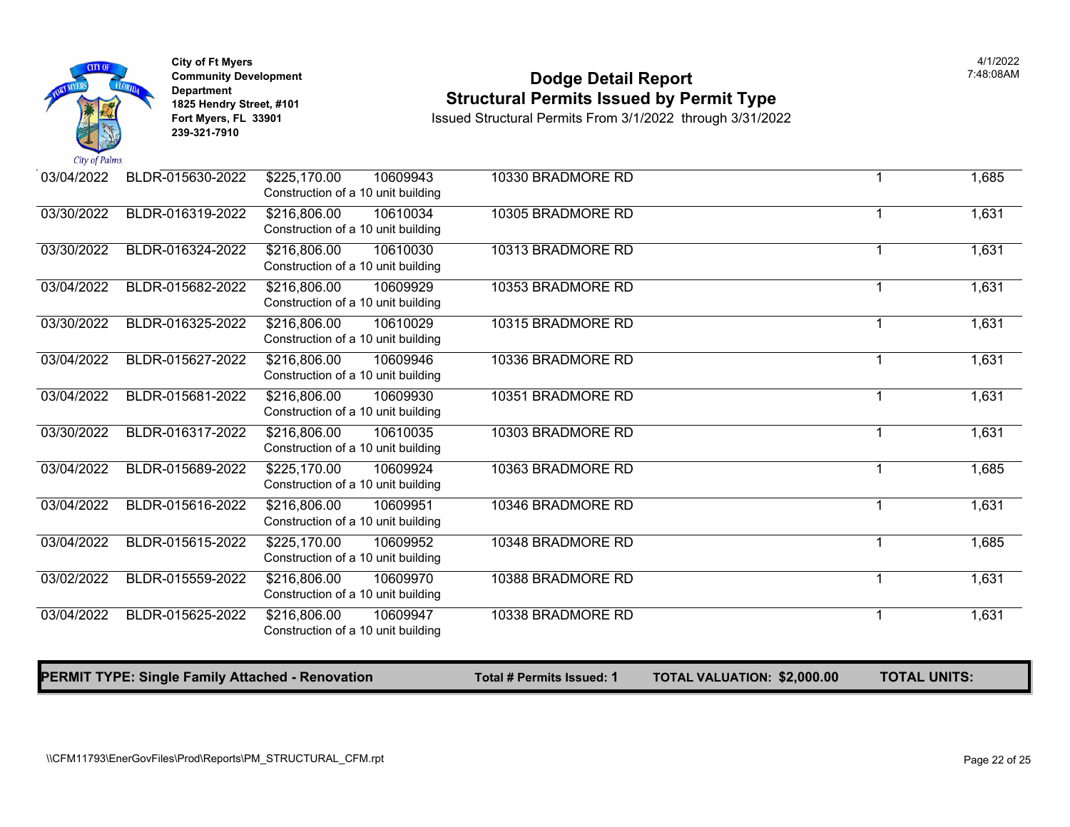

### **Community Development Dodge Detail Report** 7:48:08AM **1825 Hendry Street, #101**<br>1825 Hendry Street, #101 **1825 Hendry Street, #101**<br>1850ed Structural Permits From 3/1/2022 through 3/31/2022

|            | <b>PERMIT TYPE: Single Family Attached - Renovation</b> |                                                                | Total # Permits Issued: 1 | <b>TOTAL VALUATION: \$2,000.00</b> | <b>TOTAL UNITS:</b> |       |
|------------|---------------------------------------------------------|----------------------------------------------------------------|---------------------------|------------------------------------|---------------------|-------|
| 03/04/2022 | BLDR-015625-2022                                        | \$216,806.00<br>10609947<br>Construction of a 10 unit building | 10338 BRADMORE RD         |                                    |                     | 1,631 |
| 03/02/2022 | BLDR-015559-2022                                        | \$216,806.00<br>10609970<br>Construction of a 10 unit building | 10388 BRADMORE RD         |                                    | $\mathbf{1}$        | 1,631 |
| 03/04/2022 | BLDR-015615-2022                                        | \$225,170.00<br>10609952<br>Construction of a 10 unit building | 10348 BRADMORE RD         |                                    |                     | 1,685 |
| 03/04/2022 | BLDR-015616-2022                                        | \$216,806.00<br>10609951<br>Construction of a 10 unit building | 10346 BRADMORE RD         |                                    |                     | 1,631 |
| 03/04/2022 | BLDR-015689-2022                                        | \$225,170.00<br>10609924<br>Construction of a 10 unit building | 10363 BRADMORE RD         |                                    | 1                   | 1,685 |
| 03/30/2022 | BLDR-016317-2022                                        | \$216,806.00<br>10610035<br>Construction of a 10 unit building | 10303 BRADMORE RD         |                                    | 1                   | 1,631 |
| 03/04/2022 | BLDR-015681-2022                                        | \$216,806.00<br>10609930<br>Construction of a 10 unit building | 10351 BRADMORE RD         |                                    | 1                   | 1,631 |
| 03/04/2022 | BLDR-015627-2022                                        | \$216,806.00<br>10609946<br>Construction of a 10 unit building | 10336 BRADMORE RD         |                                    |                     | 1,631 |
| 03/30/2022 | BLDR-016325-2022                                        | \$216,806.00<br>10610029<br>Construction of a 10 unit building | 10315 BRADMORE RD         |                                    |                     | 1,631 |
| 03/04/2022 | BLDR-015682-2022                                        | \$216,806.00<br>10609929<br>Construction of a 10 unit building | 10353 BRADMORE RD         |                                    |                     | 1,631 |
| 03/30/2022 | BLDR-016324-2022                                        | 10610030<br>\$216,806.00<br>Construction of a 10 unit building | 10313 BRADMORE RD         |                                    |                     | 1,631 |
| 03/30/2022 | BLDR-016319-2022                                        | \$216,806.00<br>10610034<br>Construction of a 10 unit building | 10305 BRADMORE RD         |                                    |                     | 1,631 |
| 03/04/2022 | BLDR-015630-2022                                        | \$225,170.00<br>10609943<br>Construction of a 10 unit building | 10330 BRADMORE RD         |                                    |                     | 1,685 |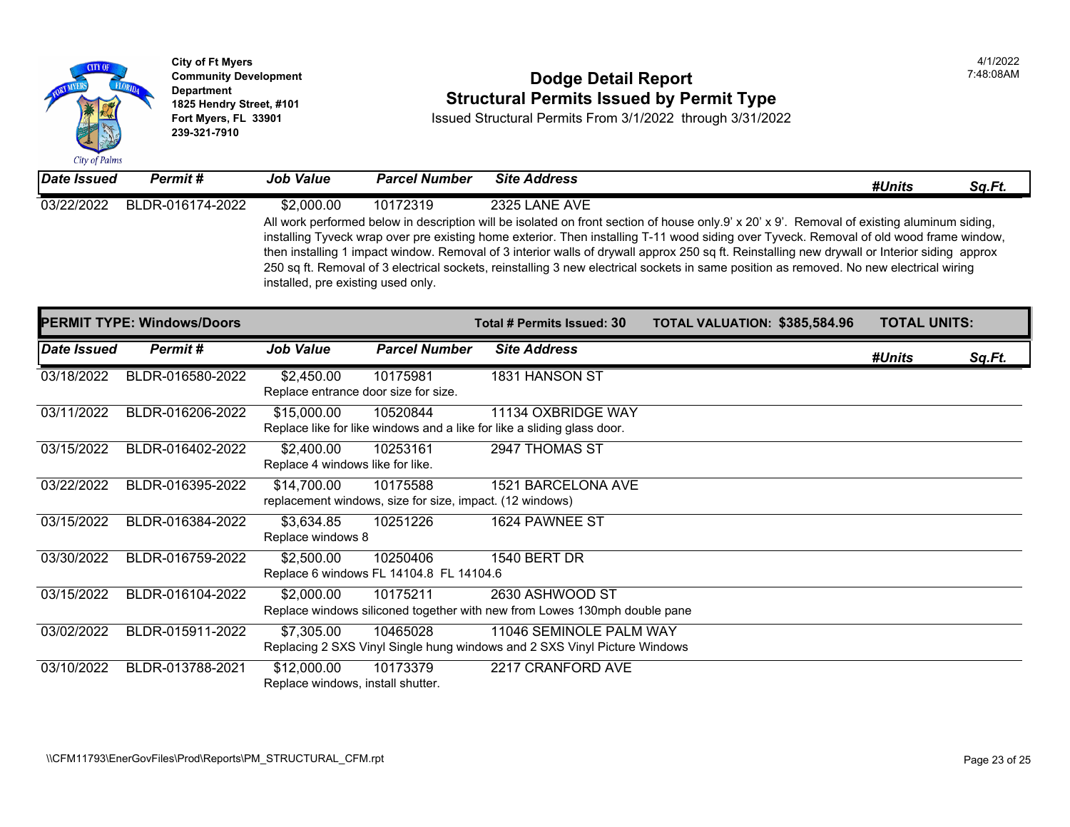

### **Community Development Community Development Community Development Community Dodge Detail Report 1825 Hendry Street, #101 1825 Hendry Street, #101 1825 Hendry Street, #101 Structural Permits Issued by Permit Type**<br>**1825 Fort Myers, FL 33901 18901 1889 Issued Structural Permits From 3/1/2022** through 3/31/20

| <b>Date Issued</b> | Permit #         | <b>Job Value</b>                   | <b>Parcel Number</b> | <b>Site Address</b>                                                                                                                                                                                                                                                                                                                                                                                                                                      |
|--------------------|------------------|------------------------------------|----------------------|----------------------------------------------------------------------------------------------------------------------------------------------------------------------------------------------------------------------------------------------------------------------------------------------------------------------------------------------------------------------------------------------------------------------------------------------------------|
| 03/22/2022         | BLDR-016174-2022 | \$2,000.00                         | 10172319             | 2325 LANE AVE                                                                                                                                                                                                                                                                                                                                                                                                                                            |
|                    |                  | installed, pre existing used only. |                      | All work performed below in description will be isolated on front section of house only 9' x 20' x 9'. Remo<br>installing Tyveck wrap over pre existing home exterior. Then installing T-11 wood siding over Tyveck. Re<br>then installing 1 impact window. Removal of 3 interior walls of drywall approx 250 sq ft. Reinstalling new of<br>250 sq ft. Removal of 3 electrical sockets, reinstalling 3 new electrical sockets in same position as remove |

|             | <b>PERMIT TYPE: Windows/Doors</b> |                                                    |                                                                      | <b>Total # Permits Issued: 30</b>                                                                    | <b>TOTAL VALUATION: \$385,58</b> |  |
|-------------|-----------------------------------|----------------------------------------------------|----------------------------------------------------------------------|------------------------------------------------------------------------------------------------------|----------------------------------|--|
| Date Issued | Permit#                           | <b>Job Value</b>                                   | <b>Parcel Number</b>                                                 | <b>Site Address</b>                                                                                  |                                  |  |
| 03/18/2022  | BLDR-016580-2022                  | \$2,450.00<br>Replace entrance door size for size. | 10175981                                                             | 1831 HANSON ST                                                                                       |                                  |  |
| 03/11/2022  | BLDR-016206-2022                  | \$15,000.00                                        | 10520844                                                             | 11134 OXBRIDGE WAY<br>Replace like for like windows and a like for like a sliding glass door.        |                                  |  |
| 03/15/2022  | BLDR-016402-2022                  | \$2,400.00<br>Replace 4 windows like for like.     | 10253161                                                             | 2947 THOMAS ST                                                                                       |                                  |  |
| 03/22/2022  | BLDR-016395-2022                  | \$14,700.00                                        | 10175588<br>replacement windows, size for size, impact. (12 windows) | 1521 BARCELONA AVE                                                                                   |                                  |  |
| 03/15/2022  | BLDR-016384-2022                  | \$3,634.85<br>Replace windows 8                    | 10251226                                                             | 1624 PAWNEE ST                                                                                       |                                  |  |
| 03/30/2022  | BLDR-016759-2022                  | \$2,500.00                                         | 10250406<br>Replace 6 windows FL 14104.8 FL 14104.6                  | 1540 BERT DR                                                                                         |                                  |  |
| 03/15/2022  | BLDR-016104-2022                  | \$2,000.00                                         | 10175211                                                             | 2630 ASHWOOD ST<br>Replace windows siliconed together with new from Lowes 130mph double pane         |                                  |  |
| 03/02/2022  | BLDR-015911-2022                  | \$7,305.00                                         | 10465028                                                             | 11046 SEMINOLE PALM WAY<br>Replacing 2 SXS Vinyl Single hung windows and 2 SXS Vinyl Picture Windows |                                  |  |
| 03/10/2022  | BLDR-013788-2021                  | \$12,000.00<br>Replace windows, install shutter.   | 10173379                                                             | 2217 CRANFORD AVE                                                                                    |                                  |  |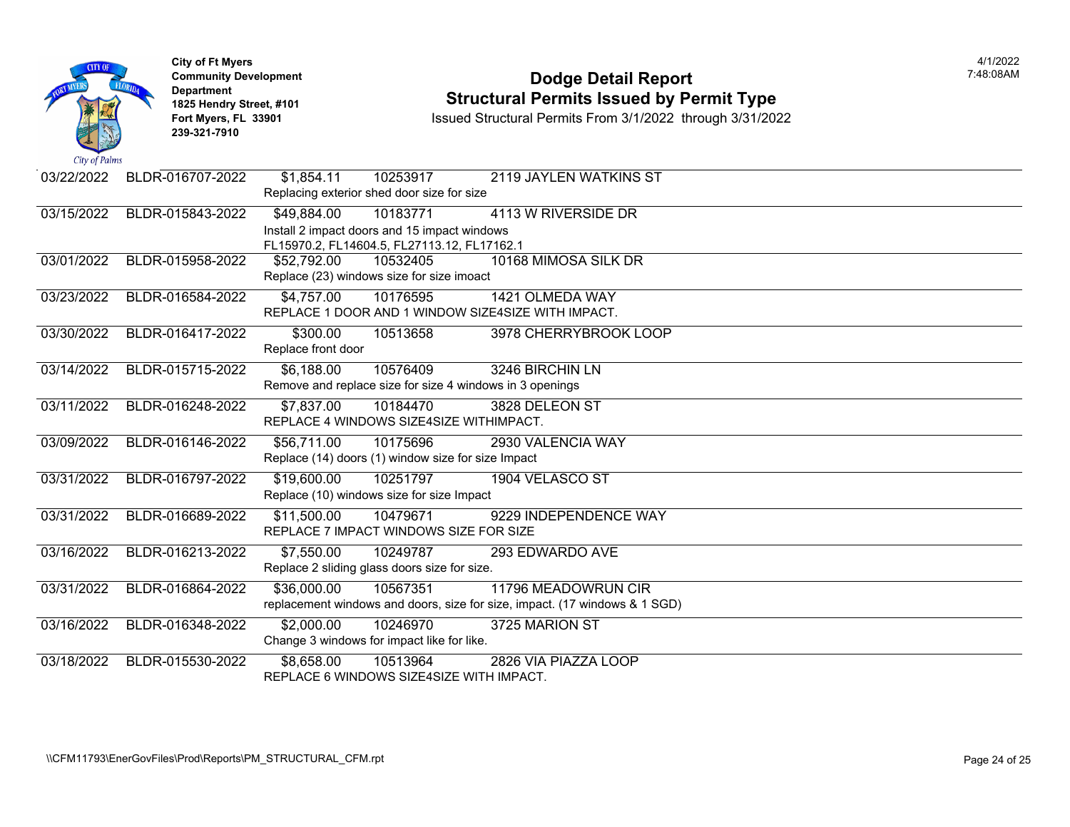| City of Palms | <b>City of Ft Myers</b><br><b>Community Development</b><br><b>Department</b><br>1825 Hendry Street, #101<br>Fort Myers, FL 33901<br>239-321-7910 | <b>Dodge Detail Report</b><br><b>Structural Permits Issued by Permit Type</b><br>Issued Structural Permits From 3/1/2022 through 3/31/2022    |
|---------------|--------------------------------------------------------------------------------------------------------------------------------------------------|-----------------------------------------------------------------------------------------------------------------------------------------------|
| 03/22/2022    | BLDR-016707-2022                                                                                                                                 | \$1,854.11<br>10253917<br>2119 JAYLEN WATKINS ST<br>Replacing exterior shed door size for size                                                |
| 03/15/2022    | BLDR-015843-2022                                                                                                                                 | \$49,884.00<br>10183771<br>4113 W RIVERSIDE DR<br>Install 2 impact doors and 15 impact windows<br>FL15970.2, FL14604.5, FL27113.12, FL17162.1 |
| 03/01/2022    | BLDR-015958-2022                                                                                                                                 | \$52,792.00<br>10532405<br>10168 MIMOSA SILK DR<br>Replace (23) windows size for size imoact                                                  |
| 03/23/2022    | BLDR-016584-2022                                                                                                                                 | \$4,757.00<br>1421 OLMEDA WAY<br>10176595<br>REPLACE 1 DOOR AND 1 WINDOW SIZE4SIZE WITH IMPACT.                                               |
| 03/30/2022    | BLDR-016417-2022                                                                                                                                 | \$300.00<br>10513658<br>3978 CHERRYBROOK LOOP<br>Replace front door                                                                           |
| 03/14/2022    | BLDR-015715-2022                                                                                                                                 | \$6,188.00<br>10576409<br>3246 BIRCHIN LN<br>Remove and replace size for size 4 windows in 3 openings                                         |
| 03/11/2022    | BLDR-016248-2022                                                                                                                                 | 10184470<br>3828 DELEON ST<br>\$7,837.00<br>REPLACE 4 WINDOWS SIZE4SIZE WITHIMPACT.                                                           |
| 03/09/2022    | BLDR-016146-2022                                                                                                                                 | \$56,711.00<br>10175696<br>2930 VALENCIA WAY<br>Replace (14) doors (1) window size for size Impact                                            |
| 03/31/2022    | BLDR-016797-2022                                                                                                                                 | \$19,600.00<br>10251797<br>1904 VELASCO ST<br>Replace (10) windows size for size Impact                                                       |
| 03/31/2022    | BLDR-016689-2022                                                                                                                                 | \$11,500.00<br>10479671<br>9229 INDEPENDENCE WAY<br>REPLACE 7 IMPACT WINDOWS SIZE FOR SIZE                                                    |
| 03/16/2022    | BLDR-016213-2022                                                                                                                                 | \$7,550.00<br>10249787<br>293 EDWARDO AVE<br>Replace 2 sliding glass doors size for size.                                                     |
| 03/31/2022    | BLDR-016864-2022                                                                                                                                 | \$36,000.00<br>10567351<br>11796 MEADOWRUN CIR<br>replacement windows and doors, size for size, impact. (17 windows & 1 SGD)                  |
| 03/16/2022    | BLDR-016348-2022                                                                                                                                 | \$2,000.00<br>10246970<br>3725 MARION ST<br>Change 3 windows for impact like for like.                                                        |
| 03/18/2022    | BLDR-015530-2022                                                                                                                                 | \$8,658.00<br>10513964<br>2826 VIA PIAZZA LOOP<br>REPLACE 6 WINDOWS SIZE4SIZE WITH IMPACT.                                                    |